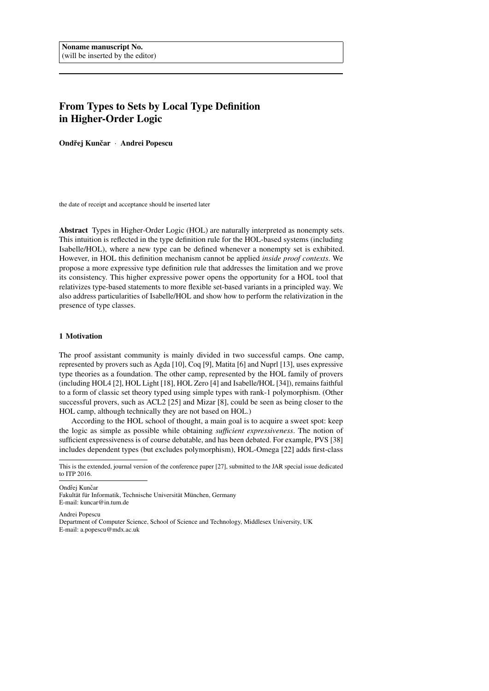# From Types to Sets by Local Type Definition in Higher-Order Logic

Ondřej Kunčar · Andrei Popescu

the date of receipt and acceptance should be inserted later

Abstract Types in Higher-Order Logic (HOL) are naturally interpreted as nonempty sets. This intuition is reflected in the type definition rule for the HOL-based systems (including Isabelle/HOL), where a new type can be defined whenever a nonempty set is exhibited. However, in HOL this definition mechanism cannot be applied *inside proof contexts*. We propose a more expressive type definition rule that addresses the limitation and we prove its consistency. This higher expressive power opens the opportunity for a HOL tool that relativizes type-based statements to more flexible set-based variants in a principled way. We also address particularities of Isabelle/HOL and show how to perform the relativization in the presence of type classes.

## <span id="page-0-0"></span>1 Motivation

The proof assistant community is mainly divided in two successful camps. One camp, represented by provers such as Agda [\[10\]](#page-22-0), Coq [\[9\]](#page-22-1), Matita [\[6\]](#page-22-2) and Nuprl [\[13\]](#page-22-3), uses expressive type theories as a foundation. The other camp, represented by the HOL family of provers (including HOL4 [\[2\]](#page-22-4), HOL Light [\[18\]](#page-23-0), HOL Zero [\[4\]](#page-22-5) and Isabelle/HOL [\[34\]](#page-23-1)), remains faithful to a form of classic set theory typed using simple types with rank-1 polymorphism. (Other successful provers, such as ACL2 [\[25\]](#page-23-2) and Mizar [\[8\]](#page-22-6), could be seen as being closer to the HOL camp, although technically they are not based on HOL.)

According to the HOL school of thought, a main goal is to acquire a sweet spot: keep the logic as simple as possible while obtaining *sufficient expressiveness*. The notion of sufficient expressiveness is of course debatable, and has been debated. For example, PVS [\[38\]](#page-23-3) includes dependent types (but excludes polymorphism), HOL-Omega [\[22\]](#page-23-4) adds first-class

Ondřej Kunčar

Fakultät für Informatik, Technische Universität München, Germany E-mail: kuncar@in.tum.de

Andrei Popescu

Department of Computer Science, School of Science and Technology, Middlesex University, UK E-mail: a.popescu@mdx.ac.uk

This is the extended, journal version of the conference paper [\[27\]](#page-23-5), submitted to the JAR special issue dedicated to ITP 2016.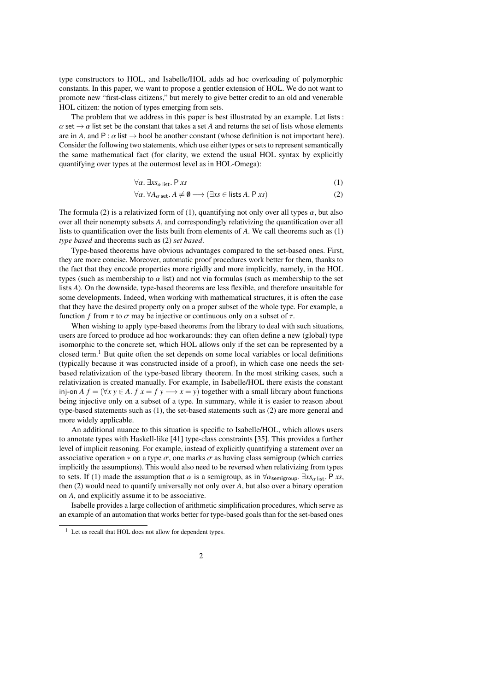type constructors to HOL, and Isabelle/HOL adds ad hoc overloading of polymorphic constants. In this paper, we want to propose a gentler extension of HOL. We do not want to promote new "first-class citizens," but merely to give better credit to an old and venerable HOL citizen: the notion of types emerging from sets.

The problem that we address in this paper is best illustrated by an example. Let lists :  $\alpha$  set  $\rightarrow \alpha$  list set be the constant that takes a set *A* and returns the set of lists whose elements are in *A*, and P :  $\alpha$  list  $\rightarrow$  bool be another constant (whose definition is not important here). Consider the following two statements, which use either types or sets to represent semantically the same mathematical fact (for clarity, we extend the usual HOL syntax by explicitly quantifying over types at the outermost level as in HOL-Omega):

$$
\forall \alpha. \exists x s_{\alpha} \text{ list. } \mathsf{P} \text{ x} s \tag{1}
$$

<span id="page-1-1"></span><span id="page-1-0"></span>
$$
\forall \alpha. \,\forall A_{\alpha \text{ set}}. A \neq \emptyset \longrightarrow (\exists xs \in \text{lists } A. \text{ P } xs)
$$
 (2)

The formula [\(2\)](#page-1-0) is a relativized form of [\(1\)](#page-1-1), quantifying not only over all types  $\alpha$ , but also over all their nonempty subsets *A*, and correspondingly relativizing the quantification over all lists to quantification over the lists built from elements of *A*. We call theorems such as [\(1\)](#page-1-1) *type based* and theorems such as [\(2\)](#page-1-0) *set based*.

Type-based theorems have obvious advantages compared to the set-based ones. First, they are more concise. Moreover, automatic proof procedures work better for them, thanks to the fact that they encode properties more rigidly and more implicitly, namely, in the HOL types (such as membership to  $\alpha$  list) and not via formulas (such as membership to the set lists *A*). On the downside, type-based theorems are less flexible, and therefore unsuitable for some developments. Indeed, when working with mathematical structures, it is often the case that they have the desired property only on a proper subset of the whole type. For example, a function *f* from  $\tau$  to  $\sigma$  may be injective or continuous only on a subset of  $\tau$ .

When wishing to apply type-based theorems from the library to deal with such situations, users are forced to produce ad hoc workarounds: they can often define a new (global) type isomorphic to the concrete set, which HOL allows only if the set can be represented by a closed term.<sup>[1](#page-1-2)</sup> But quite often the set depends on some local variables or local definitions (typically because it was constructed inside of a proof), in which case one needs the setbased relativization of the type-based library theorem. In the most striking cases, such a relativization is created manually. For example, in Isabelle/HOL there exists the constant inj-on *A*  $f = (\forall x \ y \in A$ .  $f \ x = f \ y \longrightarrow x = y)$  together with a small library about functions being injective only on a subset of a type. In summary, while it is easier to reason about type-based statements such as [\(1\)](#page-1-1), the set-based statements such as [\(2\)](#page-1-0) are more general and more widely applicable.

An additional nuance to this situation is specific to Isabelle/HOL, which allows users to annotate types with Haskell-like [\[41\]](#page-23-6) type-class constraints [\[35\]](#page-23-7). This provides a further level of implicit reasoning. For example, instead of explicitly quantifying a statement over an associative operation  $*$  on a type  $\sigma$ , one marks  $\sigma$  as having class semigroup (which carries implicitly the assumptions). This would also need to be reversed when relativizing from types to sets. If [\(1\)](#page-1-1) made the assumption that  $\alpha$  is a semigroup, as in  $\forall \alpha_{\text{semigroup}}$ .  $\exists x s_{\alpha}$  list. P *xs*, then [\(2\)](#page-1-0) would need to quantify universally not only over *A*, but also over a binary operation on *A*, and explicitly assume it to be associative.

Isabelle provides a large collection of arithmetic simplification procedures, which serve as an example of an automation that works better for type-based goals than for the set-based ones

<span id="page-1-2"></span><sup>&</sup>lt;sup>1</sup> Let us recall that HOL does not allow for dependent types.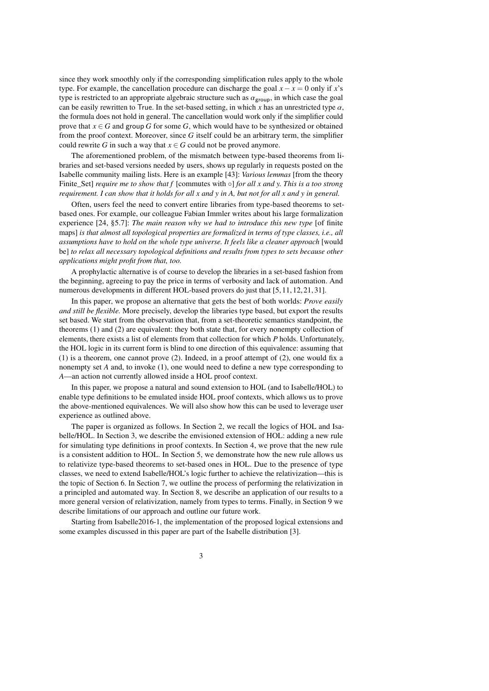since they work smoothly only if the corresponding simplification rules apply to the whole type. For example, the cancellation procedure can discharge the goal *x*− *x* = 0 only if *x*'s type is restricted to an appropriate algebraic structure such as  $\alpha_{\text{group}}$ , in which case the goal can be easily rewritten to True. In the set-based setting, in which x has an unrestricted type  $\alpha$ , the formula does not hold in general. The cancellation would work only if the simplifier could prove that  $x \in G$  and group *G* for some *G*, which would have to be synthesized or obtained from the proof context. Moreover, since *G* itself could be an arbitrary term, the simplifier could rewrite *G* in such a way that  $x \in G$  could not be proved anymore.

The aforementioned problem, of the mismatch between type-based theorems from libraries and set-based versions needed by users, shows up regularly in requests posted on the Isabelle community mailing lists. Here is an example [\[43\]](#page-23-8): *Various lemmas* [from the theory Finite\_Set] *require me to show that f* [commutes with ◦] *for all x and y. This is a too strong requirement. I can show that it holds for all x and y in A, but not for all x and y in general.*

Often, users feel the need to convert entire libraries from type-based theorems to setbased ones. For example, our colleague Fabian Immler writes about his large formalization experience [\[24,](#page-23-9) §5.7]: *The main reason why we had to introduce this new type* [of finite maps] *is that almost all topological properties are formalized in terms of type classes, i.e., all assumptions have to hold on the whole type universe. It feels like a cleaner approach* [would be] *to relax all necessary topological definitions and results from types to sets because other applications might profit from that, too.*

A prophylactic alternative is of course to develop the libraries in a set-based fashion from the beginning, agreeing to pay the price in terms of verbosity and lack of automation. And numerous developments in different HOL-based provers do just that [\[5,](#page-22-7) [11,](#page-22-8) [12,](#page-22-9) [21,](#page-23-10) [31\]](#page-23-11).

In this paper, we propose an alternative that gets the best of both worlds: *Prove easily and still be flexible.* More precisely, develop the libraries type based, but export the results set based. We start from the observation that, from a set-theoretic semantics standpoint, the theorems [\(1\)](#page-1-1) and [\(2\)](#page-1-0) are equivalent: they both state that, for every nonempty collection of elements, there exists a list of elements from that collection for which *P* holds. Unfortunately, the HOL logic in its current form is blind to one direction of this equivalence: assuming that [\(1\)](#page-1-1) is a theorem, one cannot prove [\(2\)](#page-1-0). Indeed, in a proof attempt of [\(2\)](#page-1-0), one would fix a nonempty set *A* and, to invoke [\(1\)](#page-1-1), one would need to define a new type corresponding to *A*—an action not currently allowed inside a HOL proof context.

In this paper, we propose a natural and sound extension to HOL (and to Isabelle/HOL) to enable type definitions to be emulated inside HOL proof contexts, which allows us to prove the above-mentioned equivalences. We will also show how this can be used to leverage user experience as outlined above.

The paper is organized as follows. In Section [2,](#page-3-0) we recall the logics of HOL and Isabelle/HOL. In Section [3,](#page-6-0) we describe the envisioned extension of HOL: adding a new rule for simulating type definitions in proof contexts. In Section [4,](#page-7-0) we prove that the new rule is a consistent addition to HOL. In Section [5,](#page-10-0) we demonstrate how the new rule allows us to relativize type-based theorems to set-based ones in HOL. Due to the presence of type classes, we need to extend Isabelle/HOL's logic further to achieve the relativization—this is the topic of Section [6.](#page-11-0) In Section [7,](#page-16-0) we outline the process of performing the relativization in a principled and automated way. In Section [8,](#page-18-0) we describe an application of our results to a more general version of relativization, namely from types to terms. Finally, in Section [9](#page-21-0) we describe limitations of our approach and outline our future work.

Starting from Isabelle2016-1, the implementation of the proposed logical extensions and some examples discussed in this paper are part of the Isabelle distribution [\[3\]](#page-22-10).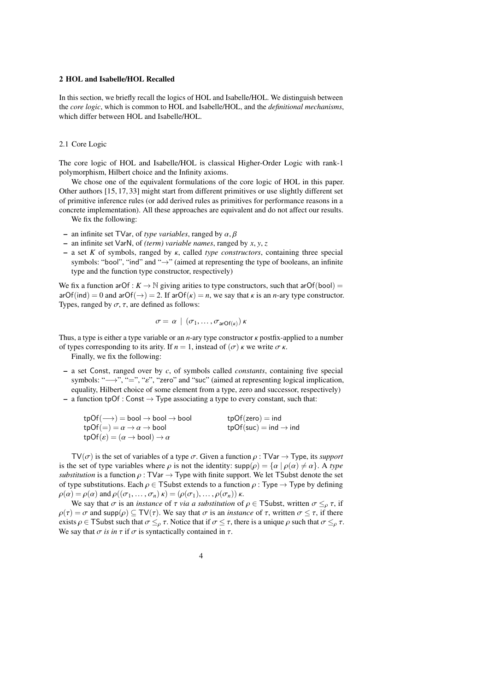# <span id="page-3-0"></span>2 HOL and Isabelle/HOL Recalled

In this section, we briefly recall the logics of HOL and Isabelle/HOL. We distinguish between the *core logic*, which is common to HOL and Isabelle/HOL, and the *definitional mechanisms*, which differ between HOL and Isabelle/HOL.

#### 2.1 Core Logic

The core logic of HOL and Isabelle/HOL is classical Higher-Order Logic with rank-1 polymorphism, Hilbert choice and the Infinity axioms.

We chose one of the equivalent formulations of the core logic of HOL in this paper. Other authors [\[15,](#page-23-12) [17,](#page-23-13) [33\]](#page-23-14) might start from different primitives or use slightly different set of primitive inference rules (or add derived rules as primitives for performance reasons in a concrete implementation). All these approaches are equivalent and do not affect our results.

We fix the following:

- an infinite set TVar, of *type variables*, ranged by α, β
- an infinite set VarN, of *(term) variable names*, ranged by *<sup>x</sup>*, *<sup>y</sup>*, *<sup>z</sup>*
- a set *<sup>K</sup>* of symbols, ranged by κ, called *type constructors*, containing three special symbols: "bool", "ind" and "→" (aimed at representing the type of booleans, an infinite type and the function type constructor, respectively)

We fix a function arOf :  $K \to \mathbb{N}$  giving arities to type constructors, such that arOf(bool) =  $arOf(ind) = 0$  and  $arOf(\rightarrow) = 2$ . If  $arOf(\kappa) = n$ , we say that  $\kappa$  is an *n*-ary type constructor. Types, ranged by  $\sigma$ ,  $\tau$ , are defined as follows:

$$
\sigma = \alpha \mid (\sigma_1, \ldots, \sigma_{\text{arOf}(\kappa)}) \kappa
$$

Thus, a type is either a type variable or an *<sup>n</sup>*-ary type constructor κ postfix-applied to a number of types corresponding to its arity. If  $n = 1$ , instead of  $(\sigma)$   $\kappa$  we write  $\sigma \kappa$ .

Finally, we fix the following:

- a set Const, ranged over by *c*, of symbols called *constants*, containing five special symbols: " $\longrightarrow$ ", "=", " $\varepsilon$ ", "zero" and "suc" (aimed at representing logical implication, equality, Hilbert choice of some element from a type, zero and successor, respectively)
- a function tpOf : Const  $\rightarrow$  Type associating a type to every constant, such that:

| $tpOf(\longrightarrow) = bool \rightarrow bool \rightarrow bool$   | $tpOf(zero) = ind$                |
|--------------------------------------------------------------------|-----------------------------------|
| $tpOf(=)=\alpha \rightarrow \alpha \rightarrow bool$               | $tpOf(suc) = ind \rightarrow ind$ |
| $tpOf(\varepsilon) = (\alpha \rightarrow bool) \rightarrow \alpha$ |                                   |

TV( $\sigma$ ) is the set of variables of a type  $\sigma$ . Given a function  $\rho$ : TVar  $\rightarrow$  Type, its *support* is the set of type variables where  $\rho$  is not the identity:  $\text{supp}(\rho) = {\alpha | \rho(\alpha) \neq \alpha}$ . A *type substitution* is a function  $\rho$ : TVar  $\rightarrow$  Type with finite support. We let TSubst denote the set of type substitutions. Each  $\rho \in \mathsf{T}$ Subst extends to a function  $\rho : \mathsf{Type} \to \mathsf{Type}$  by defining  $\rho(\alpha) = \rho(\alpha)$  and  $\rho((\sigma_1, \ldots, \sigma_n) \kappa) = (\rho(\sigma_1), \ldots, \rho(\sigma_n)) \kappa$ .

We say that  $\sigma$  is an *instance* of  $\tau$  *via a substitution* of  $\rho \in \mathsf{TSubst}$ , written  $\sigma \leq_{\rho} \tau$ , if  $\rho(\tau) = \sigma$  and supp $(\rho) \subseteq TV(\tau)$ . We say that  $\sigma$  is an *instance* of  $\tau$ , written  $\sigma \leq \tau$ , if there exists  $\rho \in \mathsf{T}$ Subst such that  $\sigma \leq_{\rho} \tau$ . Notice that if  $\sigma \leq \tau$ , there is a unique  $\rho$  such that  $\sigma \leq_{\rho} \tau$ . We say that  $\sigma$  *is in*  $\tau$  if  $\sigma$  is syntactically contained in  $\tau$ .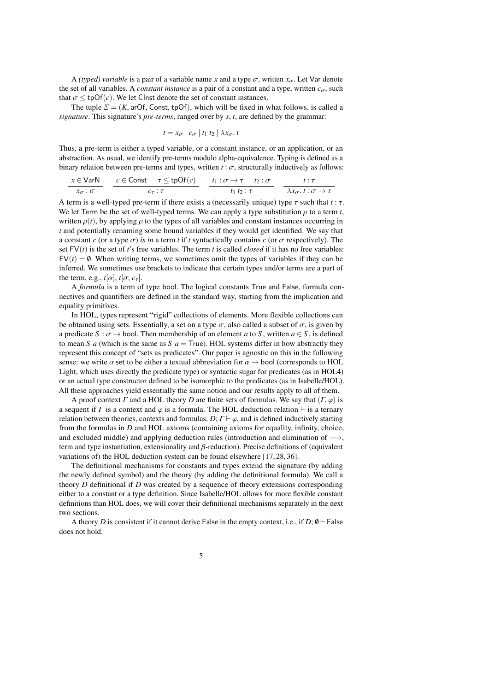A *(typed) variable* is a pair of a variable name *x* and a type  $\sigma$ , written  $x_{\sigma}$ . Let Var denote the set of all variables. A *constant instance* is a pair of a constant and a type, written  $c_{\sigma}$ , such that  $\sigma \leq \text{tpOf}(c)$ . We let Clnst denote the set of constant instances.

The tuple  $\Sigma = (K, arOf, Const, tpOf)$ , which will be fixed in what follows, is called a *signature*. This signature's *pre-terms*, ranged over by *<sup>s</sup>*, *<sup>t</sup>*, are defined by the grammar:

$$
t = x_{\sigma} \mid c_{\sigma} \mid t_1 \mid t_2 \mid \lambda x_{\sigma}.
$$

Thus, a pre-term is either a typed variable, or a constant instance, or an application, or an abstraction. As usual, we identify pre-terms modulo alpha-equivalence. Typing is defined as a binary relation between pre-terms and types, written  $t : \sigma$ , structurally inductively as follows:

$$
\frac{x \in \text{VarN}}{x_{\sigma} : \sigma} \quad \frac{c \in \text{Const} \quad \tau \le \text{tpOf}(c)}{c_{\tau} : \tau} \quad \frac{t_1 : \sigma \to \tau \quad t_2 : \sigma}{t_1 \, t_2 : \tau} \quad \frac{t : \tau}{\lambda x_{\sigma} \cdot t : \sigma \to \tau}
$$

A term is a well-typed pre-term if there exists a (necessarily unique) type  $\tau$  such that  $t : \tau$ .<br>We let Term be the set of well-typed terms. We can apply a type substitution a to a term t We let Term be the set of well-typed terms. We can apply a type substitution  $\rho$  to a term *t*, written  $\rho(t)$ , by applying  $\rho$  to the types of all variables and constant instances occurring in *t* and potentially renaming some bound variables if they would get identified. We say that a constant *c* (or a type  $\sigma$ ) *is in* a term *t* if *t* syntactically contains *c* (or  $\sigma$  respectively). The set  $FV(t)$  is the set of *t*'s free variables. The term *t* is called *closed* if it has no free variables:  $FV(t) = \emptyset$ . When writing terms, we sometimes omit the types of variables if they can be inferred. We sometimes use brackets to indicate that certain types and/or terms are a part of the term, e.g.,  $t[\alpha]$ ,  $t[\sigma, c_{\tau}]$ .

A *formula* is a term of type bool. The logical constants True and False, formula connectives and quantifiers are defined in the standard way, starting from the implication and equality primitives.

In HOL, types represent "rigid" collections of elements. More flexible collections can be obtained using sets. Essentially, a set on a type  $\sigma$ , also called a subset of  $\sigma$ , is given by a predicate  $S : \sigma \to \text{bool}$ . Then membership of an element *a* to *S*, written  $a \in S$ , is defined to mean *S a* (which is the same as *S a* = True). HOL systems differ in how abstractly they represent this concept of "sets as predicates". Our paper is agnostic on this in the following sense: we write  $\alpha$  set to be either a textual abbreviation for  $\alpha \rightarrow$  bool (corresponds to HOL Light, which uses directly the predicate type) or syntactic sugar for predicates (as in HOL4) or an actual type constructor defined to be isomorphic to the predicates (as in Isabelle/HOL). All these approaches yield essentially the same notion and our results apply to all of them.

A proof context  $\Gamma$  and a HOL theory  $D$  are finite sets of formulas. We say that  $(\Gamma, \varphi)$  is a sequent if  $\Gamma$  is a context and  $\varphi$  is a formula. The HOL deduction relation ⊢ is a ternary relation between theories, contexts and formulas,  $D$ ;  $\Gamma \vdash \varphi$ , and is defined inductively starting from the formulas in *D* and HOL axioms (containing axioms for equality, infinity, choice, and excluded middle) and applying deduction rules (introduction and elimination of  $\rightarrow$ , term and type instantiation, extensionality and  $\beta$ -reduction). Precise definitions of (equivalent variations of) the HOL deduction system can be found elsewhere [\[17,](#page-23-13) [28,](#page-23-15) [36\]](#page-23-16).

The definitional mechanisms for constants and types extend the signature (by adding the newly defined symbol) and the theory (by adding the definitional formula). We call a theory *D* definitional if *D* was created by a sequence of theory extensions corresponding either to a constant or a type definition. Since Isabelle/HOL allows for more flexible constant definitions than HOL does, we will cover their definitional mechanisms separately in the next two sections.

A theory *D* is consistent if it cannot derive False in the empty context, i.e., if  $D$ ;  $\emptyset \vdash$  False does not hold.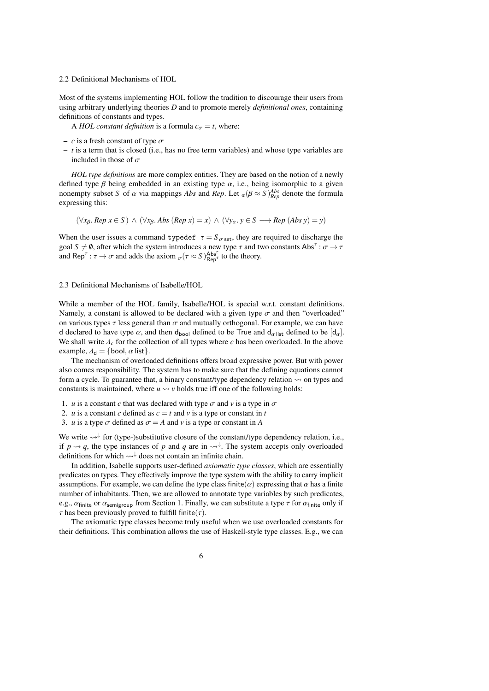#### 2.2 Definitional Mechanisms of HOL

Most of the systems implementing HOL follow the tradition to discourage their users from using arbitrary underlying theories *D* and to promote merely *definitional ones*, containing definitions of constants and types.

A *HOL constant definition* is a formula  $c_{\sigma} = t$ , where:

- $-c$  is a fresh constant of type  $\sigma$
- *t* is a term that is closed (i.e., has no free term variables) and whose type variables are included in those of  $\sigma$

*HOL type definitions* are more complex entities. They are based on the notion of a newly defined type  $\beta$  being embedded in an existing type  $\alpha$ , i.e., being isomorphic to a given nonempty subset *S* of  $\alpha$  via mappings *Abs* and *Rep*. Let  $_{\alpha}(\beta \approx S)_{Rep}^{Abs}$  denote the formula expressing this: expressing this:

$$
(\forall x_{\beta}, Rep \ x \in S) \land (\forall x_{\beta}, Abs (Rep \ x) = x) \land (\forall y_{\alpha}, y \in S \longrightarrow Rep (Abs \ y) = y)
$$

When the user issues a command typedef  $\tau = S_{\sigma \text{ set}}$ , they are required to discharge the goal  $S \neq \emptyset$ , after which the system introduces a new type  $\tau$  and two constants Abs<sup> $\tau : \sigma \to \tau$ <br>and Ben<sup> $\tau : \tau \to \sigma$  and adds the axiom  $(\tau \sim S)^{\text{Abs}^{\tau}}$  to the theory</sup></sup> and Rep<sup> $\tau$ </sup>:  $\tau \to \sigma$  and adds the axiom  $_{\sigma}(\tau \approx S)_{\text{Rep}^{\tau}}^{\text{Abs}^{\tau}}$  to the theory.

## <span id="page-5-0"></span>2.3 Definitional Mechanisms of Isabelle/HOL

While a member of the HOL family, Isabelle/HOL is special w.r.t. constant definitions. Namely, a constant is allowed to be declared with a given type  $\sigma$  and then "overloaded" on various types  $\tau$  less general than  $\sigma$  and mutually orthogonal. For example, we can have d declared to have type  $\alpha$ , and then d<sub>bool</sub> defined to be True and d<sub> $\alpha$  list defined to be  $[d_{\alpha}]$ .</sub> We shall write <sup>∆</sup>*<sup>c</sup>* for the collection of all types where *<sup>c</sup>* has been overloaded. In the above example,  $\Delta_d = \{\text{bool}, \alpha \text{ list}\}.$ 

The mechanism of overloaded definitions offers broad expressive power. But with power also comes responsibility. The system has to make sure that the defining equations cannot form a cycle. To guarantee that, a binary constant/type dependency relation  $\sim$  on types and constants is maintained, where  $u \rightarrow v$  holds true iff one of the following holds:

- 1. *u* is a constant *c* that was declared with type  $\sigma$  and *v* is a type in  $\sigma$
- 2. *u* is a constant *c* defined as  $c = t$  and *v* is a type or constant in *t*
- 3. *u* is a type  $\sigma$  defined as  $\sigma = A$  and *v* is a type or constant in *A*

We write « ↓ for (type-)substitutive closure of the constant/type dependency relation, i.e., if  $p \rightsquigarrow q$ , the type instances of p and q are in  $\rightsquigarrow^{\downarrow}$ . The system accepts only overloaded definitions for which  $\leadsto \downarrow$  does not contain an infinite chain.

In addition, Isabelle supports user-defined *axiomatic type classes*, which are essentially predicates on types. They effectively improve the type system with the ability to carry implicit assumptions. For example, we can define the type class finite( $\alpha$ ) expressing that  $\alpha$  has a finite number of inhabitants. Then, we are allowed to annotate type variables by such predicates, e.g.,  $\alpha_{\text{finite}}$  or  $\alpha_{\text{semigroup}}$  from Section [1.](#page-0-0) Finally, we can substitute a type  $\tau$  for  $\alpha_{\text{finite}}$  only if  $\tau$  has been previously proved to fulfill finite( $\tau$ ).

The axiomatic type classes become truly useful when we use overloaded constants for their definitions. This combination allows the use of Haskell-style type classes. E.g., we can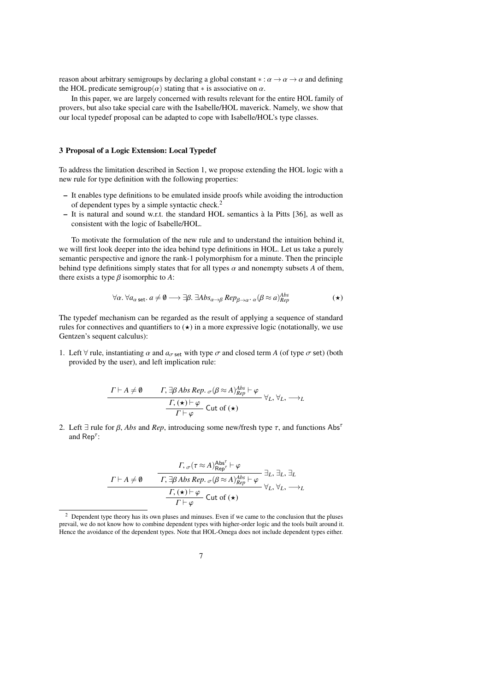reason about arbitrary semigroups by declaring a global constant  $\alpha : \alpha \to \alpha \to \alpha$  and defining the HOL predicate semigroup( $\alpha$ ) stating that  $*$  is associative on  $\alpha$ .

In this paper, we are largely concerned with results relevant for the entire HOL family of provers, but also take special care with the Isabelle/HOL maverick. Namely, we show that our local typedef proposal can be adapted to cope with Isabelle/HOL's type classes.

## <span id="page-6-0"></span>3 Proposal of a Logic Extension: Local Typedef

To address the limitation described in Section [1,](#page-0-0) we propose extending the HOL logic with a new rule for type definition with the following properties:

- It enables type definitions to be emulated inside proofs while avoiding the introduction of dependent types by a simple syntactic check.[2](#page-6-1)
- It is natural and sound w.r.t. the standard HOL semantics à la Pitts [\[36\]](#page-23-16), as well as consistent with the logic of Isabelle/HOL.

To motivate the formulation of the new rule and to understand the intuition behind it, we will first look deeper into the idea behind type definitions in HOL. Let us take a purely semantic perspective and ignore the rank-1 polymorphism for a minute. Then the principle behind type definitions simply states that for all types  $\alpha$  and nonempty subsets  $A$  of them, there exists a type  $\beta$  isomorphic to  $\overline{A}$ :

<span id="page-6-2"></span>
$$
\forall \alpha. \ \forall a_{\alpha \text{ set}}. a \neq \emptyset \longrightarrow \exists \beta. \ \exists Abs_{\alpha \to \beta} Rep_{\beta \to \alpha} \cdot \alpha (\beta \approx a)_{Rep}^{Abs}
$$

The typedef mechanism can be regarded as the result of applying a sequence of standard rules for connectives and quantifiers to  $\star$ ) in a more expressive logic (notationally, we use Gentzen's sequent calculus):

1. Left  $\forall$  rule, instantiating  $\alpha$  and  $a_{\sigma \text{ set}}$  with type  $\sigma$  and closed term *A* (of type  $\sigma$  set) (both provided by the user), and left implication rule:

$$
\frac{\Gamma \vdash A \neq \emptyset \qquad \Gamma, \exists \beta \, Abs \, Rep. \, \sigma(\beta \approx A)^{Abs}_{Rep} \vdash \varphi}{\Gamma \vdash \varphi} \, \forall_L, \, \forall_L, \, \longrightarrow_L
$$
\n
$$
\frac{\Gamma, (\star) \vdash \varphi}{\Gamma \vdash \varphi} \, \text{Cut of } (\star)
$$

2. Left  $\exists$  rule for  $\beta$ , *Abs* and *Rep*, introducing some new/fresh type  $\tau$ , and functions Abs<sup> $\tau$ </sup> and  $\mathsf{Rep}^{\tau}$ :

Γ <sup>⊢</sup> *<sup>A</sup>* ̸<sup>=</sup> /0 Γ, σ(<sup>τ</sup> <sup>≈</sup> *<sup>A</sup>*) Absτ Repτ <sup>⊢</sup> <sup>φ</sup> ∃*L*, ∃*L*, ∃*<sup>L</sup>* Γ, <sup>∃</sup><sup>β</sup> *Abs Rep*. σ(<sup>β</sup> <sup>≈</sup> *<sup>A</sup>*) *Abs Rep* <sup>⊢</sup> <sup>φ</sup> ∀*L*, ∀*L*, −→*<sup>L</sup>* Γ, ([⋆](#page-6-2)) <sup>⊢</sup> φ Cut of ([⋆](#page-6-2)) Γ <sup>⊢</sup> φ

<span id="page-6-1"></span><sup>2</sup> Dependent type theory has its own pluses and minuses. Even if we came to the conclusion that the pluses prevail, we do not know how to combine dependent types with higher-order logic and the tools built around it. Hence the avoidance of the dependent types. Note that HOL-Omega does not include dependent types either.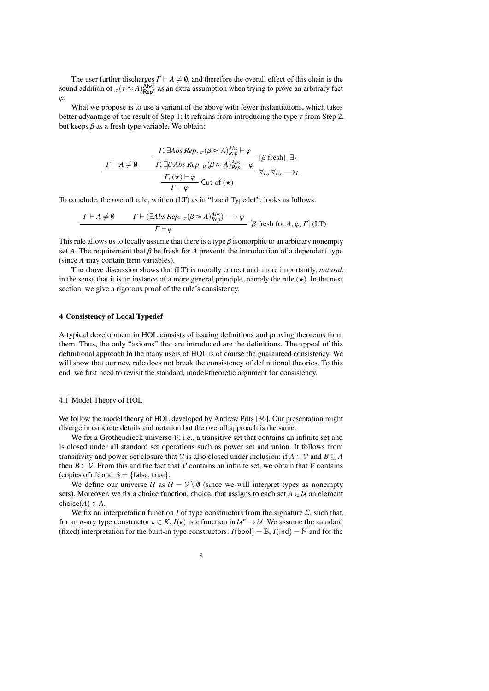The user further discharges  $\Gamma \vdash A \neq \emptyset$ , and therefore the overall effect of this chain is the<br>ad addition of  $(\tau \sim A)^{\text{Abs}^T}$  as an extra assumption when trying to prove an arbitrary fact sound addition of  $_{\sigma}(\tau \approx A)_{\text{Rep}}^{\text{Abs}^{\tau}}$  as an extra assumption when trying to prove an arbitrary fact φ.

What we propose is to use a variant of the above with fewer instantiations, which takes better advantage of the result of Step 1: It refrains from introducing the type  $\tau$  from Step 2, but keeps  $\beta$  as a fresh type variable. We obtain:

$$
\frac{\Gamma; \exists Abs\ Rep. \ \sigma(\beta \approx A)^{Abs}_{Rep} \vdash \varphi}{\Gamma; \exists \beta \ Abs\ Rep. \ \sigma(\beta \approx A)^{Abs}_{Rep} \vdash \varphi} [\beta \ \text{fresh}] \ \exists_L
$$
\n
$$
\frac{\Gamma; (\star) \vdash \varphi}{\Gamma; (\star) \vdash \varphi} \ \text{Cut of } (\star)
$$

 $\Gamma \vdash \varphi$  exercises  $\Box \vdash \varphi$ <br>To conclude, the overall rule, written (LT) as in "Local Typedef", looks as follows:

$$
\frac{\Gamma \vdash A \neq \emptyset \qquad \Gamma \vdash (\exists Abs\, Rep. \, \sigma(\beta \approx A)^{Abs}_{Rep}) \longrightarrow \varphi}{\Gamma \vdash \varphi} \quad [\beta \text{ fresh for } A, \varphi, \Gamma] \text{ (LT)}
$$

This rule allows us to locally assume that there is a type  $\beta$  isomorphic to an arbitrary nonempty set A. The requirement that  $\beta$  be fresh for A prevents the introduction of a dependent type set *A*. The requirement that  $\beta$  be fresh for *A* prevents the introduction of a dependent type (since *A* may contain term variables).

The above discussion shows that (LT) is morally correct and, more importantly, *natural*, in the sense that it is an instance of a more general principle, namely the rule  $(\star)$ . In the next section, we give a rigorous proof of the rule's consistency.

#### <span id="page-7-0"></span>4 Consistency of Local Typedef

A typical development in HOL consists of issuing definitions and proving theorems from them. Thus, the only "axioms" that are introduced are the definitions. The appeal of this definitional approach to the many users of HOL is of course the guaranteed consistency. We will show that our new rule does not break the consistency of definitional theories. To this end, we first need to revisit the standard, model-theoretic argument for consistency.

#### 4.1 Model Theory of HOL

We follow the model theory of HOL developed by Andrew Pitts [\[36\]](#page-23-16). Our presentation might diverge in concrete details and notation but the overall approach is the same.

We fix a Grothendieck universe  $\mathcal{V}$ , i.e., a transitive set that contains an infinite set and is closed under all standard set operations such as power set and union. It follows from transitivity and power-set closure that V is also closed under inclusion: if  $A \in V$  and  $B \subseteq A$ then  $B \in V$ . From this and the fact that V contains an infinite set, we obtain that V contains (copies of)  $\mathbb N$  and  $\mathbb B = \{\text{false}, \text{true}\}.$ 

We define our universe  $U$  as  $U = V \setminus \emptyset$  (since we will interpret types as nonempty sets). Moreover, we fix a choice function, choice, that assigns to each set  $A \in \mathcal{U}$  an element choice $(A) \in A$ .

We fix an interpretation function *I* of type constructors from the signature  $\Sigma$ , such that, for an *n*-ary type constructor  $\kappa \in K$ ,  $I(\kappa)$  is a function in  $\mathcal{U}^n \to \mathcal{U}$ . We assume the standard (fixed) interpretation for the built-in type constructors:  $I(\text{bool}) = \mathbb{R}$ ,  $I(\text{ind}) = \mathbb{N}$  and for the (fixed) interpretation for the built-in type constructors:  $I(bool) = \mathbb{B}$ ,  $I(ind) = \mathbb{N}$  and for the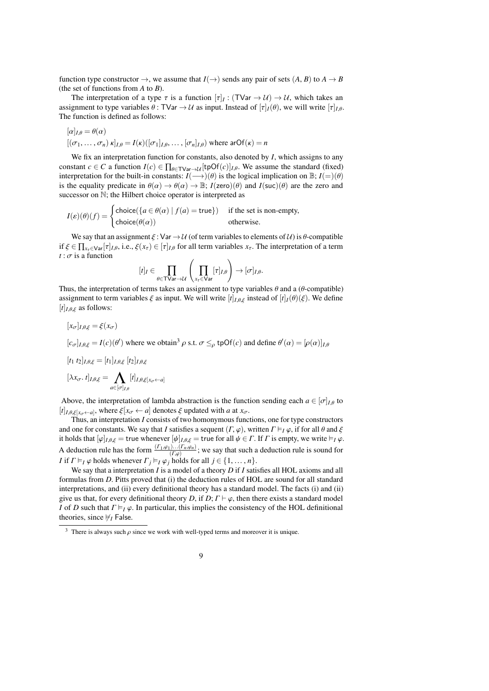function type constructor  $\rightarrow$ , we assume that  $I(\rightarrow)$  sends any pair of sets  $(A, B)$  to  $A \rightarrow B$ (the set of functions from *A* to *B*).

The interpretation of a type  $\tau$  is a function  $[\tau]_I : (\text{TVar} \to \mathcal{U}) \to \mathcal{U}$ , which takes an oppoint to type variables  $\theta : \text{TVar} \to \mathcal{U}$  as input Instead of  $[\tau]_I(\theta)$ , we will write  $[\tau]_I(\theta)$ assignment to type variables  $\theta$ : TVar  $\rightarrow U$  as input. Instead of  $[\tau]_I(\theta)$ , we will write  $[\tau]_{I\theta}$ . The function is defined as follows:

$$
[\alpha]_{I,\theta} = \theta(\alpha)
$$
  

$$
[(\sigma_1,\ldots,\sigma_n) \kappa]_{I,\theta} = I(\kappa)([\sigma_1]_{I,\theta},\ldots,[\sigma_n]_{I,\theta})
$$
 where  $\text{arOf}(\kappa) = n$ 

We fix an interpretation function for constants, also denoted by *I*, which assigns to any constant *c* ∈ *C* a function  $I(c) \in \prod_{\theta \in \text{TVar} \to \mathcal{U}} [\text{tpOf}(c)]_{I,\theta}$ . We assume the standard (fixed) interpretation for the built-in constants:  $I(\rightarrow)(\theta)$  is the logical implication on  $\mathbb{B}$ ;  $I(=)(\theta)$ is the equality predicate in  $\theta(\alpha) \to \theta(\alpha) \to \mathbb{B}$ ;  $I(\text{zero})(\theta)$  and  $I(\text{succ})(\theta)$  are the zero and successor on  $\mathbb{N}$ ; the Hilbert choice operator is interpreted as

$$
I(\varepsilon)(\theta)(f) = \begin{cases} \text{choice}(\{a \in \theta(\alpha) \mid f(a) = \text{true}\}) & \text{if the set is non-empty,} \\ \text{choice}(\theta(\alpha)) & \text{otherwise.} \end{cases}
$$

We say that an assignment  $\xi : Var \to U$  (of term variables to elements of  $U$ ) is  $\theta$ -compatible if  $\xi \in \prod_{x \in \text{Var}} [\tau]_{I,\theta}$ , i.e.,  $\xi(x_\tau) \in [\tau]_{I,\theta}$  for all term variables  $x_\tau$ . The interpretation of a term  $t : \sigma$  is a function

$$
[t]_I \in \prod_{\theta \in \mathsf{TVar} \to \mathcal{U}} \left( \prod_{x_\tau \in \mathsf{Var}} [\tau]_{I,\theta} \right) \to [\sigma]_{I,\theta}.
$$

Thus, the interpretation of terms takes an assignment to type variables  $\theta$  and a ( $\theta$ -compatible)<br>assignment to term variables  $\xi$  as input. We will write  $[f]_{\xi, \theta, \xi}$  instead of  $[f]_{\xi}(\theta)(\xi)$ . We define assignment to term variables  $\xi$  as input. We will write  $[t]_{I,\theta,\xi}$  instead of  $[t]_I(\theta)(\xi)$ . We define  $[t]_{I,\theta,\xi}$  as follows:

$$
[x_{\sigma}]_{I,\theta,\xi} = \xi(x_{\sigma})
$$
  
\n
$$
[c_{\sigma}]_{I,\theta,\xi} = I(c)(\theta')
$$
 where we obtain<sup>3</sup>  $\rho$  s.t.  $\sigma \leq_{\rho}$  tpOf(c) and define  $\theta'(\alpha) = [\rho(\alpha)]_{I,\theta}$   
\n
$$
[t_1 \ t_2]_{I,\theta,\xi} = [t_1]_{I,\theta,\xi} [t_2]_{I,\theta,\xi}
$$
  
\n
$$
[\lambda x_{\sigma}. t]_{I,\theta,\xi} = \bigwedge_{\alpha \in [\sigma]_{I,\theta}} [t]_{I,\theta,\xi}[x_{\sigma} \leftarrow a]
$$
  
\nAbove the interpretation of lambda abstraction is the function sending each  $\alpha \in [\sigma]$ .

Above, the interpretation of lambda abstraction is the function sending each  $a \in [\sigma]_{I,\theta}$  to  $[t]_{I,\theta,\xi[x_{\sigma} \leftarrow a]}$ , where  $\xi[x_{\sigma} \leftarrow a]$  denotes  $\xi$  updated with *a* at  $x_{\sigma}$ .<br>Thus an interpretation *I* consists of two homonymous func

Thus, an interpretation *I* consists of two homonymous functions, one for type constructors and one for constants. We say that *I* satisfies a sequent  $(\Gamma, \varphi)$ , written  $\Gamma \vDash_I \varphi$ , if for all  $\theta$  and  $\xi$ it holds that  $[\varphi]_{I,\theta,\xi}$  = true whenever  $[\psi]_{I,\theta,\xi}$  = true for all  $\psi \in \Gamma$ . If  $\Gamma$  is empty, we write  $\models_I \varphi$ .<br>A deduction rule has the form  $\frac{(\Gamma_1,\varphi_1)...(\Gamma_n,\varphi_n)}{(\Gamma_1,\varphi)}$ ; we say that such a deduction rule is so  $\frac{f(x, \theta, \varphi_n)}{(f, \varphi)}$ ; we say that such a deduction rule is sound for  $\frac{f(x, \theta)}{(f(x, \theta))}$ *I* if  $\Gamma \vDash_I \varphi$  holds whenever  $\Gamma_j \vDash_I \varphi_j$  holds for all  $j \in \{1, ..., n\}$ .

We say that a interpretation *I* is a model of a theory *D* if *I* satisfies all HOL axioms and all formulas from *D*. Pitts proved that (i) the deduction rules of HOL are sound for all standard interpretations, and (ii) every definitional theory has a standard model. The facts (i) and (ii) give us that, for every definitional theory *D*, if *D*;  $\Gamma \vdash \varphi$ , then there exists a standard model *I* of *D* such that  $\Gamma \models_I \varphi$ . In particular, this implies the consistency of the HOL definitional theories, since  $⊭$ <sub>*I*</sub> False.

<span id="page-8-0"></span><sup>&</sup>lt;sup>3</sup> There is always such  $\rho$  since we work with well-typed terms and moreover it is unique.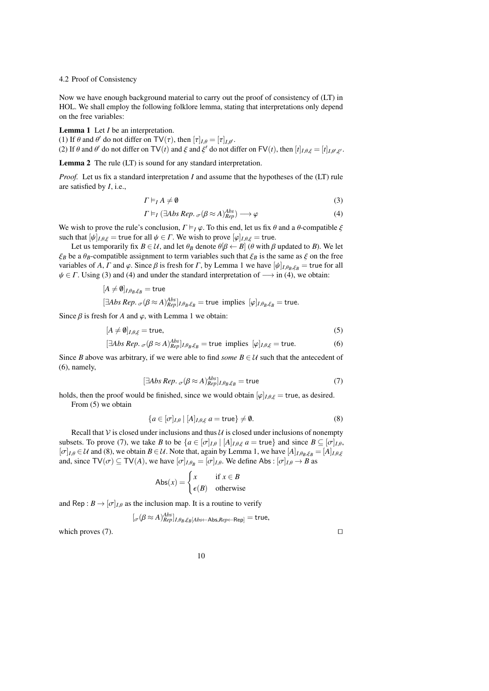# 4.2 Proof of Consistency

Now we have enough background material to carry out the proof of consistency of (LT) in HOL. We shall employ the following folklore lemma, stating that interpretations only depend on the free variables:

<span id="page-9-0"></span>Lemma 1 Let *I* be an interpretation.

(1) If  $\theta$  and  $\theta'$  do not differ on  $\text{TV}(\tau)$ , then  $[\tau]_{I,\theta} = [\tau]_{I,\theta'}$ .<br>(2) If  $\theta$  and  $\theta'$  do not differ on  $\text{TV}(\tau)$  and  $\xi$  and  $\xi'$  do not di-

(2) If  $\theta$  and  $\theta'$  do not differ on  $TV(t)$  and  $\xi'$  and  $\xi'$  do not differ on  $FV(t)$ , then  $[t]_{I,\theta,\xi'} = [t]_{I,\theta',\xi'}$ .

Lemma 2 The rule (LT) is sound for any standard interpretation.

*Proof.* Let us fix a standard interpretation *I* and assume that the hypotheses of the (LT) rule are satisfied by *I*, i.e.,

$$
\Gamma \vDash_I A \neq \emptyset \tag{3}
$$

$$
\Gamma \vDash_I (\exists Abs\, Rep. \, \sigma(\beta \approx A)_{Rep}^{Abs}) \longrightarrow \varphi \tag{4}
$$

<span id="page-9-4"></span><span id="page-9-3"></span><span id="page-9-2"></span><span id="page-9-1"></span>*Abs*

We wish to prove the rule's conclusion,  $\Gamma \models_I \varphi$ . To this end, let us fix  $\theta$  and a  $\theta$ -compatible  $\xi$ such that  $[\psi]_{I,\theta,\xi}$  = true for all  $\psi \in \Gamma$ . We wish to prove  $[\varphi]_{I,\theta,\xi}$  = true.

Let us temporarily fix  $B \in U$ , and let  $\theta_B$  denote  $\theta[\beta \leftarrow B]$  ( $\theta$  with  $\beta$  updated to *B*). We let  $\xi_B$  be a  $\theta_B$ -compatible assignment to term variables such that  $\xi_B$  is the same as  $\xi$  on the free variables of *A*,  $\Gamma$  and  $\varphi$ . Since  $\beta$  is fresh for  $\Gamma$ , by Lemma [1](#page-9-0) we have  $[\psi]_{I,\theta_R,\xi_R}$  = true for all  $\psi \in \Gamma$ . Using [\(3\)](#page-9-1) and [\(4\)](#page-9-2) and under the standard interpretation of  $\longrightarrow$  in (4), we obtain:

$$
[A \neq \emptyset]_{I, \theta_B, \xi_B} = \text{true}
$$
  

$$
[\exists Abs \, Rep. \, \sigma(\beta \approx A)_{Rep}^{Abs}]_{I, \theta_B, \xi_B} = \text{true implies } [\varphi]_{I, \theta_B, \xi_B} = \text{true.}
$$

Since  $\beta$  is fresh for *A* and  $\varphi$ , with Lemma [1](#page-9-0) we obtain:

$$
[A \neq \emptyset]_{I, \theta, \xi} = \text{true},\tag{5}
$$

$$
[\exists Abs\, Rep. \, \sigma(\beta \approx A)^{Abs}_{Rep}]_{I, \theta_B, \xi_B} = \text{true implies } [\varphi]_{I, \theta, \xi} = \text{true.}
$$
 (6)

Since *B* above was arbitrary, if we were able to find *some*  $B \in U$  such that the antecedent of [\(6\)](#page-9-3), namely,

$$
[\exists Abs\ Rep. \ {}_{\sigma}(\beta \approx A)_{Rep}^{Abs}]_{I,\theta_B,\xi_B} = \text{true} \tag{7}
$$

holds, then the proof would be finished, since we would obtain  $[\varphi]_{I,\theta,\xi} =$  true, as desired.

From  $(5)$  we obtain

$$
\{a \in [\sigma]_{I,\theta} \mid [A]_{I,\theta,\xi} \ a = \text{true}\} \neq \emptyset. \tag{8}
$$

Recall that  $\mathcal V$  is closed under inclusions and thus  $\mathcal U$  is closed under inclusions of nonempty subsets. To prove [\(7\)](#page-9-5), we take *B* to be  $\{a \in [\sigma]_{I,\theta} \mid [A]_{I,\theta,\xi} \mid a = \text{true}\}\$  and since  $B \subseteq [\sigma]_{I,\theta}$ ,  $[\sigma]_{I,\theta} \in \mathcal{U}$  and [\(8\)](#page-9-6), we obtain  $B \in \mathcal{U}$ . Note that, again by Lemma [1,](#page-9-0) we have  $[A]_{I,\theta_B,\xi_B} = [A]_{I,\theta,\xi}$ and, since  $TV(\sigma) \subseteq TV(A)$ , we have  $[\sigma]_{I,\theta_B} = [\sigma]_{I,\theta}$ . We define Abs:  $[\sigma]_{I,\theta} \to B$  as

$$
Abs(x) = \begin{cases} x & \text{if } x \in B \\ \epsilon(B) & \text{otherwise} \end{cases}
$$

and Rep :  $B \rightarrow [\sigma]_{I,\theta}$  as the inclusion map. It is a routine to verify

$$
[\sigma(\beta \approx A)_{Rep}^{Abs}]_{I, \theta_B, \xi_B[Abs \leftarrow Abs, Rep \leftarrow Rep]} = true,
$$

which proves [\(7\)](#page-9-5).  $□$ 

<span id="page-9-6"></span><span id="page-9-5"></span>

10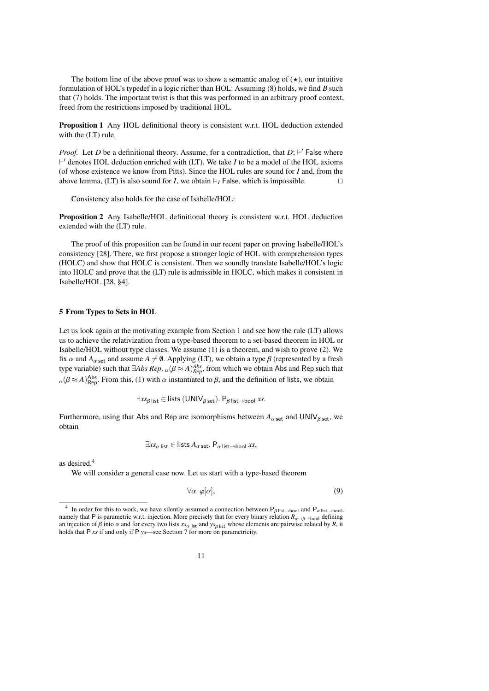The bottom line of the above proof was to show a semantic analog of  $(\star)$ , our intuitive formulation of HOL's typedef in a logic richer than HOL: Assuming [\(8\)](#page-9-6) holds, we find *B* such that [\(7\)](#page-9-5) holds. The important twist is that this was performed in an arbitrary proof context, freed from the restrictions imposed by traditional HOL.

Proposition 1 Any HOL definitional theory is consistent w.r.t. HOL deduction extended with the (LT) rule.

*Proof.* Let *D* be a definitional theory. Assume, for a contradiction, that *D*; ⊢' False where ⊢ ′ denotes HOL deduction enriched with (LT). We take *I* to be a model of the HOL axioms (of whose existence we know from Pitts). Since the HOL rules are sound for *I* and, from the above lemma, (LT) is also sound for *I*, we obtain  $\models$ *I* False, which is impossible. □

Consistency also holds for the case of Isabelle/HOL:

Proposition 2 Any Isabelle/HOL definitional theory is consistent w.r.t. HOL deduction extended with the (LT) rule.

The proof of this proposition can be found in our recent paper on proving Isabelle/HOL's consistency [\[28\]](#page-23-15). There, we first propose a stronger logic of HOL with comprehension types (HOLC) and show that HOLC is consistent. Then we soundly translate Isabelle/HOL's logic into HOLC and prove that the (LT) rule is admissible in HOLC, which makes it consistent in Isabelle/HOL [\[28,](#page-23-15) §4].

## <span id="page-10-0"></span>5 From Types to Sets in HOL

Let us look again at the motivating example from Section [1](#page-0-0) and see how the rule (LT) allows us to achieve the relativization from a type-based theorem to a set-based theorem in HOL or Isabelle/HOL without type classes. We assume [\(1\)](#page-1-1) is a theorem, and wish to prove [\(2\)](#page-1-0). We fix  $\alpha$  and  $A_{\alpha}$  set and assume  $A \neq \emptyset$ . Applying (LT), we obtain a type  $\beta$  (represented by a fresh<br>type variable) such that  $\exists$ *A* bs *Ben* ( $\beta \approx A$ ) $^{Abs}$  from which we obtain Abs and Ben such that type variable) such that  $\exists Abs\ Rep$ .  $\alpha(\beta \approx A)_{app}^{Abs}$ , from which we obtain Abs and Rep such that  $\alpha(\beta \approx A)_{\text{Rep}}^{\text{Abs}}$ . From this, [\(1\)](#page-1-1) with  $\alpha$  instantiated to  $\beta$ , and the definition of lists, we obtain

$$
\exists xs_{\beta \text{ list}} \in \text{lists } (\text{UNIV}_{\beta \text{ set}}). P_{\beta \text{ list } \rightarrow \text{bool}} xs.
$$

Furthermore, using that Abs and Rep are isomorphisms between  $A_{\alpha \text{ set}}$  and UNIV<sub> $\beta$  set</sub>, we obtain

$$
\exists x s_{\alpha} \, \text{list} \in \text{lists } A_{\alpha \, \text{set}}. \, \mathsf{P}_{\alpha \, \text{list} \to \text{bool}} \, x s,
$$

as desired.[4](#page-10-1)

We will consider a general case now. Let us start with a type-based theorem

<span id="page-10-2"></span>
$$
\forall \alpha. \varphi[\alpha], \tag{9}
$$

<span id="page-10-1"></span><sup>&</sup>lt;sup>4</sup> In order for this to work, we have silently assumed a connection between  $P_{\beta}$  list→bool and  $P_{\alpha}$  list→bool, namely that P is parametric w.r.t. injection. More precisely that for every binary relation  $R_{\alpha \to \beta \to \text{bool}}$  defining an injection of  $\beta$  into  $\alpha$  and for every two lists  $xs_{\alpha}$  list and  $ys_{\beta}$  list whose elements are pairwise related by *R*, it holds that P *xs* if and only if P *ys*—see Section [7](#page-16-0) for more on parametricity.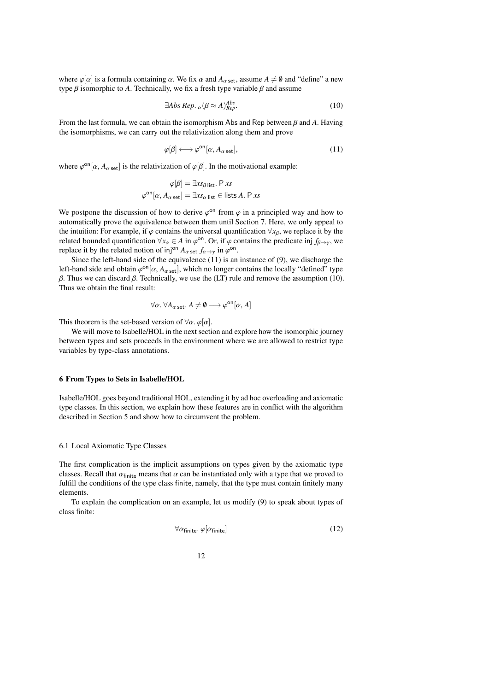where  $\varphi[\alpha]$  is a formula containing  $\alpha$ . We fix  $\alpha$  and  $A_{\alpha \text{ set}}$ , assume  $A \neq \emptyset$  and "define" a new type  $\beta$  isomorphic to A. Technically, we fix a fresh type variable  $\beta$  and assume

<span id="page-11-2"></span>
$$
\exists Abs\ Rep. \ {}_{\alpha}(\beta \approx A)^{Abs}_{Rep}.\tag{10}
$$

From the last formula, we can obtain the isomorphism Abs and Rep between β and *<sup>A</sup>*. Having the isomorphisms, we can carry out the relativization along them and prove

<span id="page-11-1"></span>
$$
\varphi[\beta] \longleftrightarrow \varphi^{\text{on}}[\alpha, A_{\alpha \text{ set}}],\tag{11}
$$

where  $\varphi^{\text{on}}[\alpha, A_{\alpha \text{ set}}]$  is the relativization of  $\varphi[\beta]$ . In the motivational example:

$$
\varphi[\beta] = \exists x s_{\beta \text{ list}}. \mathsf{P} x s
$$

$$
\varphi^{\text{on}}[\alpha, A_{\alpha \text{ set}}] = \exists x s_{\alpha \text{ list}} \in \text{lists } A. \mathsf{P} x s
$$

We postpone the discussion of how to derive  $\varphi^{on}$  from  $\varphi$  in a principled way and how to automatically prove the equivalence between them until Section 7. Here, we only anneal to automatically prove the equivalence between them until Section [7.](#page-16-0) Here, we only appeal to the intuition: For example, if  $\varphi$  contains the universal quantification  $\forall x_{\beta}$ , we replace it by the related bounded quantification  $\forall x_{\alpha} \in A$  in  $\varphi^{\text{on}}$ . Or, if  $\varphi$  contains the predicate inj  $f_{\beta \to \gamma}$ , we replace it by the related notion of ini<sup>on</sup>  $A$ ,  $f_{\gamma}$ , in  $\varphi^{\text{on}}$ replace it by the related notion of inj<sup>on</sup>  $A_{\alpha}$  set  $f_{\alpha \to \gamma}$  in  $\varphi$ <sup>on</sup>.<br>Since the left-band side of the equivalence (11) is an

Since the left-hand side of the equivalence [\(11\)](#page-11-1) is an instance of [\(9\)](#page-10-2), we discharge the left-hand side and obtain  $\varphi^{\text{on}}[\alpha, A_{\alpha \text{ set}}]$ , which no longer contains the locally "defined" type <br>*B*. Thus we can discard *B*. Technically, we use the (LT) rule and remove the assumption (10)  $β$ . Thus we can discard  $β$ . Technically, we use the (LT) rule and remove the assumption [\(10\)](#page-11-2). Thus we obtain the final result:

$$
\forall \alpha. \ \forall A_{\alpha \text{ set}}. A \neq \emptyset \longrightarrow \varphi^{\text{on}}[\alpha, A]
$$

This theorem is the set-based version of  $\forall \alpha$ .  $\varphi[\alpha]$ .

We will move to Isabelle/HOL in the next section and explore how the isomorphic journey between types and sets proceeds in the environment where we are allowed to restrict type variables by type-class annotations.

#### <span id="page-11-0"></span>6 From Types to Sets in Isabelle/HOL

Isabelle/HOL goes beyond traditional HOL, extending it by ad hoc overloading and axiomatic type classes. In this section, we explain how these features are in conflict with the algorithm described in Section [5](#page-10-0) and show how to circumvent the problem.

# <span id="page-11-4"></span>6.1 Local Axiomatic Type Classes

The first complication is the implicit assumptions on types given by the axiomatic type classes. Recall that  $\alpha_{\text{finite}}$  means that  $\alpha$  can be instantiated only with a type that we proved to fulfill the conditions of the type class finite, namely, that the type must contain finitely many elements.

To explain the complication on an example, let us modify [\(9\)](#page-10-2) to speak about types of class finite:

$$
\forall \alpha_{\text{finite}}.\,\varphi[\alpha_{\text{finite}}] \tag{12}
$$

<span id="page-11-3"></span>12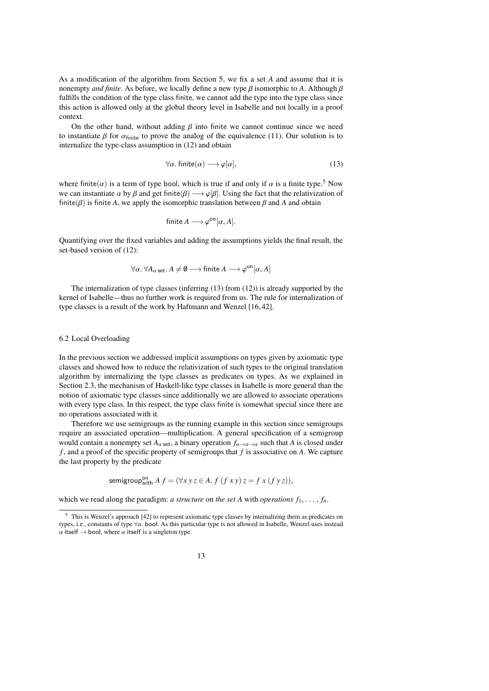As a modification of the algorithm from Section [5,](#page-10-0) we fix a set *A* and assume that it is nonempty *and finite*. As before, we locally define a new type  $\beta$  isomorphic to *A*. Although  $\beta$ fulfills the condition of the type class finite, we cannot add the type into the type class since this action is allowed only at the global theory level in Isabelle and not locally in a proof context.

On the other hand, without adding  $\beta$  into finite we cannot continue since we need to instantiate  $\beta$  for  $\alpha_{\text{finite}}$  to prove the analog of the equivalence [\(11\)](#page-11-1). Our solution is to internalize the type-class assumption in [\(12\)](#page-11-3) and obtain

<span id="page-12-1"></span>
$$
\forall \alpha. \text{ finite}(\alpha) \longrightarrow \varphi[\alpha], \tag{13}
$$

where finite( $\alpha$ ) is a term of type bool, which is true if and only if  $\alpha$  is a finite type.<sup>[5](#page-12-0)</sup> Now we can instantiate  $\alpha$  by  $\beta$  and get finite( $\beta$ )  $\longrightarrow \varphi[\beta]$ . Using the fact that the relativization of finite( $\beta$ ) is finite *A*, we apply the isomorphic translation between  $\beta$  and *A* and obtain

$$
finite A \longrightarrow \varphi^{\text{on}}[\alpha, A].
$$

Quantifying over the fixed variables and adding the assumptions yields the final result, the set-based version of [\(12\)](#page-11-3):

$$
\forall \alpha. \ \forall A_{\alpha \ \text{set}}. A \neq \emptyset \longrightarrow \text{finite } A \longrightarrow \varphi^{\text{on}}[\alpha, A]
$$

The internalization of type classes (inferring [\(13\)](#page-12-1) from [\(12\)](#page-11-3)) is already supported by the kernel of Isabelle—thus no further work is required from us. The rule for internalization of type classes is a result of the work by Haftmann and Wenzel [\[16,](#page-23-17) [42\]](#page-23-18).

## <span id="page-12-2"></span>6.2 Local Overloading

In the previous section we addressed implicit assumptions on types given by axiomatic type classes and showed how to reduce the relativization of such types to the original translation algorithm by internalizing the type classes as predicates on types. As we explained in Section [2.3,](#page-5-0) the mechanism of Haskell-like type classes in Isabelle is more general than the notion of axiomatic type classes since additionally we are allowed to associate operations with every type class. In this respect, the type class finite is somewhat special since there are no operations associated with it.

Therefore we use semigroups as the running example in this section since semigroups require an associated operation—multiplication. A general specification of a semigroup would contain a nonempty set  $A_{\alpha \text{ set}}$ , a binary operation  $f_{\alpha \to \alpha \to \alpha}$  such that *A* is closed under *f* , and a proof of the specific property of semigroups that *f* is associative on *A*. We capture the last property by the predicate

semigroup<sup>on</sup><sub>with</sub> 
$$
A f = (\forall x y z \in A. f (f xy) z = f x (f y z)),
$$

which we read along the paradigm: *a structure* on *the set A* with *operations*  $f_1, \ldots, f_n$ .

<span id="page-12-0"></span><sup>&</sup>lt;sup>5</sup> This is Wenzel's approach [\[42\]](#page-23-18) to represent axiomatic type classes by internalizing them as predicates on types, i.e., constants of type <sup>∀</sup>α. bool. As this particular type is not allowed in Isabelle, Wenzel uses instead  $\alpha$  itself  $\rightarrow$  bool, where  $\alpha$  itself is a singleton type.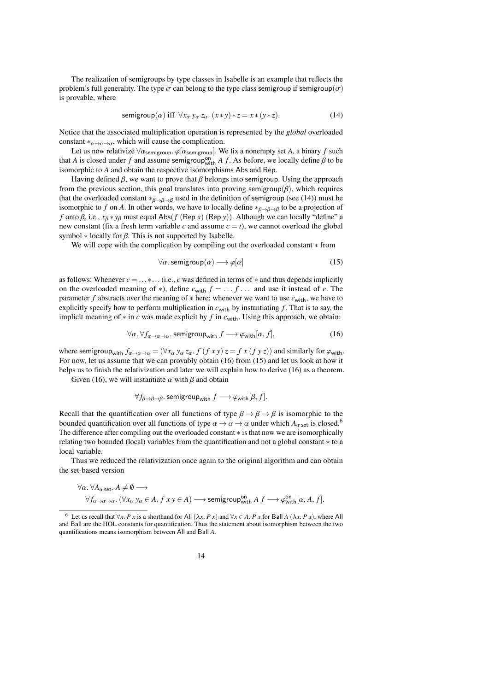The realization of semigroups by type classes in Isabelle is an example that reflects the problem's full generality. The type  $\sigma$  can belong to the type class semigroup if semigroup( $\sigma$ ) is provable, where

<span id="page-13-0"></span>
$$
semigroup(\alpha) \text{ iff } \forall x_{\alpha} y_{\alpha} z_{\alpha}. (x * y) * z = x * (y * z). \tag{14}
$$

Notice that the associated multiplication operation is represented by the *global* overloaded constant  $*_{\alpha \to \alpha \to \alpha}$ , which will cause the complication.

Let us now relativize  $\forall \alpha_{\text{semigroup}}$ .  $\varphi[\alpha_{\text{semigroup}}]$ . We fix a nonempty set *A*, a binary *f* such that *A* is closed under *f* and assume semigroup<sup>on</sup>  $A$  *f*. As before, we locally define β to be isomorphic to *A* and obtain the respective isomorphisms Abs and Rep. isomorphic to *A* and obtain the respective isomorphisms Abs and Rep.

Having defined  $\beta$ , we want to prove that  $\beta$  belongs into semigroup. Using the approach from the previous section, this goal translates into proving semigroup( $\beta$ ), which requires that the overloaded constant \* $\beta \rightarrow \beta \rightarrow \beta$  used in the definition of semigroup (see [\(14\)](#page-13-0)) must be isomorphic to *f* on *A*. In other words, we have to locally define  $*_{\beta \to \beta \to \beta}$  to be a projection of *f* onto  $\beta$ , i.e.,  $x_{\beta} * y_{\beta}$  must equal Abs(*f* (Rep *x*) (Rep *y*)). Although we can locally "define" a new constant (fix a fresh term variable  $c$  and assume  $c = t$ ), we cannot overload the global symbol  $*$  locally for  $\beta$ . This is not supported by Isabelle.

We will cope with the complication by compiling out the overloaded constant ∗ from

<span id="page-13-2"></span><span id="page-13-1"></span>
$$
\forall \alpha. \text{ semigroup}(\alpha) \longrightarrow \varphi[\alpha] \tag{15}
$$

as follows: Whenever *<sup>c</sup>* <sup>=</sup> ...∗... (i.e., *<sup>c</sup>* was defined in terms of <sup>∗</sup> and thus depends implicitly on the overloaded meaning of <sup>∗</sup>), define *<sup>c</sup>*with *<sup>f</sup>* <sup>=</sup> . . . *<sup>f</sup>* . . . and use it instead of *<sup>c</sup>*. The parameter *f* abstracts over the meaning of ∗ here: whenever we want to use  $c$ <sub>with</sub>, we have to explicitly specify how to perform multiplication in  $c_{with}$  by instantiating  $f$ . That is to say, the implicit meaning of ∗ in *c* was made explicit by *f* in *c*with. Using this approach, we obtain:

$$
\forall \alpha. \,\forall f_{\alpha \to \alpha \to \alpha}. \text{ semigroup}_{\text{with}} \, f \longrightarrow \varphi_{\text{with}}[\alpha, f],\tag{16}
$$

where semigroup<sub>with</sub>  $f_{\alpha\to\alpha\to\alpha} = (\forall x_\alpha y_\alpha z_\alpha. f (f xy) z = f x (f y z))$  and similarly for  $\varphi_{\text{with}}$ . For now, let us assume that we can provably obtain [\(16\)](#page-13-1) from [\(15\)](#page-13-2) and let us look at how it helps us to finish the relativization and later we will explain how to derive [\(16\)](#page-13-1) as a theorem.

Given [\(16\)](#page-13-1), we will instantiate  $\alpha$  with  $\beta$  and obtain

$$
\forall f_{\beta \to \beta \to \beta} \text{. semigroup}_{\text{with}} f \longrightarrow \varphi_{\text{with}}[\beta, f].
$$

Recall that the quantification over all functions of type  $\beta \rightarrow \beta \rightarrow \beta$  is isomorphic to the bounded quantification over all functions of type  $\alpha \to \alpha \to \alpha$  under which  $A_{\alpha \text{ set}}$  is closed.<sup>[6](#page-13-3)</sup> The difference after compiling out the overloaded constant ∗ is that now we are isomorphically relating two bounded (local) variables from the quantification and not a global constant ∗ to a local variable.

Thus we reduced the relativization once again to the original algorithm and can obtain the set-based version

$$
\forall \alpha. \,\forall A_{\alpha \text{ set}}. A \neq \emptyset \longrightarrow
$$
  

$$
\forall f_{\alpha \to \alpha \to \alpha}. (\forall x_{\alpha} \, y_{\alpha} \in A. \, f \, x \, y \in A) \longrightarrow \text{semigroup}^{\text{on}}_{\text{with}} A \, f \longrightarrow \varphi^{\text{on}}_{\text{with}}[\alpha, A, f].
$$

14

<span id="page-13-3"></span><sup>6</sup> Let us recall that <sup>∀</sup>*x*. *P x* is a shorthand for All (λ*x*. *P x*) and <sup>∀</sup>*<sup>x</sup>* <sup>∈</sup> *<sup>A</sup>*. *P x* for Ball *<sup>A</sup>* (λ*x*. *P x*), where All and Ball are the HOL constants for quantification. Thus the statement about isomorphism between the two quantifications means isomorphism between All and Ball *A*.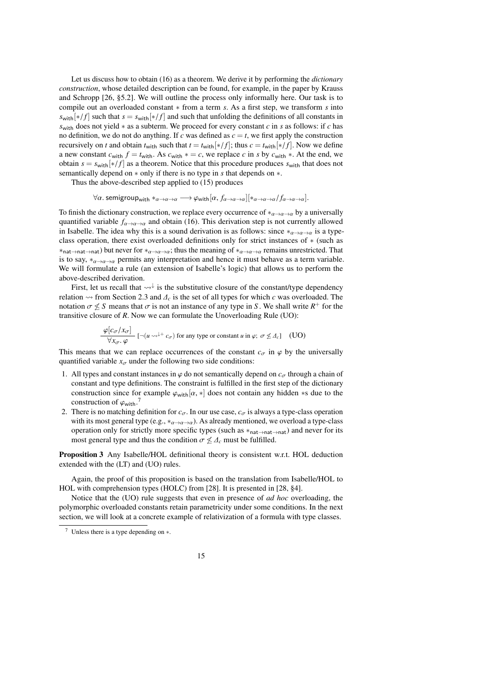Let us discuss how to obtain [\(16\)](#page-13-1) as a theorem. We derive it by performing the *dictionary construction*, whose detailed description can be found, for example, in the paper by Krauss and Schropp [\[26,](#page-23-19) §5.2]. We will outline the process only informally here. Our task is to compile out an overloaded constant ∗ from a term *s*. As a first step, we transform *s* into  $s_{\text{with}}$ [∗/*f*] such that  $s = s_{\text{with}}$ [∗/*f*] and such that unfolding the definitions of all constants in *s*with does not yield ∗ as a subterm. We proceed for every constant *c* in *s* as follows: if *c* has no definition, we do not do anything. If *c* was defined as  $c = t$ , we first apply the construction recursively on *t* and obtain  $t_{\text{with}}$  such that  $t = t_{\text{with}}[*/f]$ ; thus  $c = t_{\text{with}}[*/f]$ . Now we define a new constant  $c_{\text{with}} f = t_{\text{with}}$ . As  $c_{\text{with}} * = c$ , we replace *c* in *s* by  $c_{\text{with}} *$ . At the end, we obtain  $s = s_{with}[*/ f]$  as a theorem. Notice that this procedure produces  $s_{with}$  that does not semantically depend on ∗ only if there is no type in *s* that depends on ∗.

Thus the above-described step applied to [\(15\)](#page-13-2) produces

 $\forall \alpha$ . semigroup<sub>with</sub> \* $_{\alpha \to \alpha \to \alpha} \longrightarrow \varphi_{\text{with}}[\alpha, f_{\alpha \to \alpha \to \alpha}]$ [\* $_{\alpha \to \alpha \to \alpha}/f_{\alpha \to \alpha \to \alpha}$ ].

To finish the dictionary construction, we replace every occurrence of  $*_{\alpha \to \alpha \to \alpha}$  by a universally quantified variable  $f_{\alpha\rightarrow\alpha\rightarrow\alpha}$  and obtain [\(16\)](#page-13-1). This derivation step is not currently allowed in Isabelle. The idea why this is a sound derivation is as follows: since  $*_\alpha \rightarrow \alpha \rightarrow \alpha$  is a typeclass operation, there exist overloaded definitions only for strict instances of ∗ (such as  $*_{\text{nat}\rightarrow \text{nat}}$ ) but never for  $*_{\alpha\rightarrow \alpha\rightarrow \alpha}$ ; thus the meaning of  $*_{\alpha\rightarrow \alpha\rightarrow \alpha}$  remains unrestricted. That is to say,  $*_{\alpha \to \alpha \to \alpha}$  permits any interpretation and hence it must behave as a term variable. We will formulate a rule (an extension of Isabelle's logic) that allows us to perform the above-described derivation.

First, let us recall that  $\leadsto \downarrow$  is the substitutive closure of the constant/type dependency relation  $\sim$  from Section [2.3](#page-5-0) and  $\Delta_c$  is the set of all types for which *c* was overloaded. The notation  $\sigma \not\leq S$  means that  $\sigma$  is not an instance of any type in *S*. We shall write  $R^+$  for the transitive closure of *R*. Now we can formulate the Unoverloading Rule (UO): transitive closure of *R*. Now we can formulate the Unoverloading Rule (UO):

$$
\frac{\varphi[c_{\sigma}/x_{\sigma}]}{\forall x_{\sigma}, \varphi} \left[ \neg(u \leadsto^{+\dagger} c_{\sigma}) \text{ for any type or constant } u \text{ in } \varphi; \sigma \not\leq A_{c} \right] \quad \text{(UO)}
$$

This means that we can replace occurrences of the constant  $c_{\sigma}$  in  $\varphi$  by the universally quantified variable x, under the following two side conditions: quantified variable  $x_{\sigma}$  under the following two side conditions:

- 1. All types and constant instances in  $\varphi$  do not semantically depend on  $c_{\sigma}$  through a chain of constant and type definitions. The constraint is fulfilled in the first step of the dictionary construction since for example  $\varphi_{with}[\alpha, *]$  does not contain any hidden \*s due to the construction of  $\varphi_{\text{with}}$ .<sup>[7](#page-14-0)</sup>
- 2. There is no matching definition for  $c_{\sigma}$ . In our use case,  $c_{\sigma}$  is always a type-class operation with its most general type (e.g., \* $\alpha \rightarrow \alpha \rightarrow \alpha$ ). As already mentioned, we overload a type-class operation only for strictly more specific types (such as ∗nat→nat→nat) and never for its most general type and thus the condition  $\sigma \not\leq \Delta_c$  must be fulfilled.

Proposition 3 Any Isabelle/HOL definitional theory is consistent w.r.t. HOL deduction extended with the (LT) and (UO) rules.

Again, the proof of this proposition is based on the translation from Isabelle/HOL to HOL with comprehension types (HOLC) from [\[28\]](#page-23-15). It is presented in [\[28,](#page-23-15) §4].

Notice that the (UO) rule suggests that even in presence of *ad hoc* overloading, the polymorphic overloaded constants retain parametricity under some conditions. In the next section, we will look at a concrete example of relativization of a formula with type classes.

<span id="page-14-0"></span><sup>7</sup> Unless there is a type depending on ∗.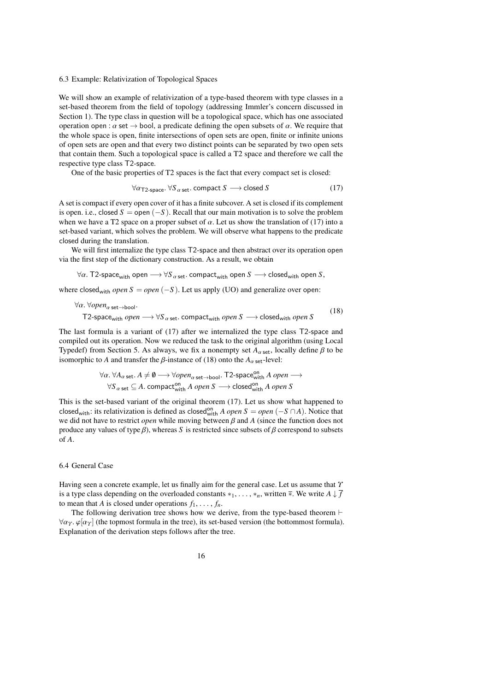# 6.3 Example: Relativization of Topological Spaces

We will show an example of relativization of a type-based theorem with type classes in a set-based theorem from the field of topology (addressing Immler's concern discussed in Section [1\)](#page-0-0). The type class in question will be a topological space, which has one associated operation open :  $\alpha$  set  $\rightarrow$  bool, a predicate defining the open subsets of  $\alpha$ . We require that the whole space is open, finite intersections of open sets are open, finite or infinite unions of open sets are open and that every two distinct points can be separated by two open sets that contain them. Such a topological space is called a T2 space and therefore we call the respective type class T2-space.

One of the basic properties of T2 spaces is the fact that every compact set is closed:

<span id="page-15-1"></span><span id="page-15-0"></span>
$$
\forall \alpha_{\text{T2-space.}} \forall S_{\alpha \text{ set.}} \text{ compact } S \longrightarrow \text{closed } S \tag{17}
$$

A set is compact if every open cover of it has a finite subcover. A set is closed if its complement is open. i.e., closed  $S =$  open  $(-S)$ . Recall that our main motivation is to solve the problem when we have a T2 space on a proper subset of  $\alpha$ . Let us show the translation of [\(17\)](#page-15-0) into a set-based variant, which solves the problem. We will observe what happens to the predicate closed during the translation.

We will first internalize the type class T2-space and then abstract over its operation open via the first step of the dictionary construction. As a result, we obtain

 $\forall \alpha$ . T2-space<sub>with</sub> open  $\longrightarrow \forall S_{\alpha \text{ set}}$ . compact<sub>with</sub> open *S*  $\longrightarrow$  closed<sub>with</sub> open *S*,

where closed<sub>with</sub> *open*  $S = open(-S)$ . Let us apply (UO) and generalize over open:

$$
\forall \alpha. \,\forall open_{\alpha \text{ set}\to \text{bool}}.\n\text{T2-space}_{\text{with}}\, open \longrightarrow \forall S_{\alpha \text{ set}}.\,compact_{\text{with}}\, open \, S \longrightarrow \text{closed}_{\text{with}}\, open \, S
$$
\n(18)

The last formula is a variant of [\(17\)](#page-15-0) after we internalized the type class T2-space and compiled out its operation. Now we reduced the task to the original algorithm (using Local Typedef) from Section [5.](#page-10-0) As always, we fix a nonempty set  $A_{\alpha \text{ set}}$ , locally define  $\beta$  to be isomorphic to *A* and transfer the  $\beta$ -instance of [\(18\)](#page-15-1) onto the  $A_{\alpha \text{ set}}$ -level:

$$
\forall \alpha. \ \forall A_{\alpha \text{ set}}. A \neq \emptyset \longrightarrow \forall open_{\alpha \text{ set} \to \text{bool}}. \ \mathsf{T2\text{-}space}^{\text{on}}_{\text{with}} A \ open \longrightarrow
$$
  

$$
\forall S_{\alpha \text{ set}} \subseteq A. \ \text{compact}_{\text{with}}^{\text{on}} A \ open \ S \longrightarrow \text{closed}_{\text{with}}^{\text{on}} A \ open \ S
$$

This is the set-based variant of the original theorem [\(17\)](#page-15-0). Let us show what happened to closed<sub>with</sub>: its relativization is defined as closed<sup>on</sup> *A open S* = *open* (−*S* ∩*A*). Notice that we did not have to restrict *open* while moving between β and *<sup>A</sup>* (since the function does not produce any values of type  $\beta$ ), whereas *S* is restricted since subsets of  $\beta$  correspond to subsets of *A*.

## <span id="page-15-2"></span>6.4 General Case

Having seen a concrete example, let us finally aim for the general case. Let us assume that Υ is a type class depending on the overloaded constants  $*_1, \ldots, *_n$ , written  $\overline{*}$ . We write  $A \downarrow f$ to mean that *A* is closed under operations  $f_1, \ldots, f_n$ .

The following derivation tree shows how we derive, from the type-based theorem ⊢  $\forall \alpha_Y$ .  $\varphi[\alpha_Y]$  (the topmost formula in the tree), its set-based version (the bottommost formula). Explanation of the derivation steps follows after the tree.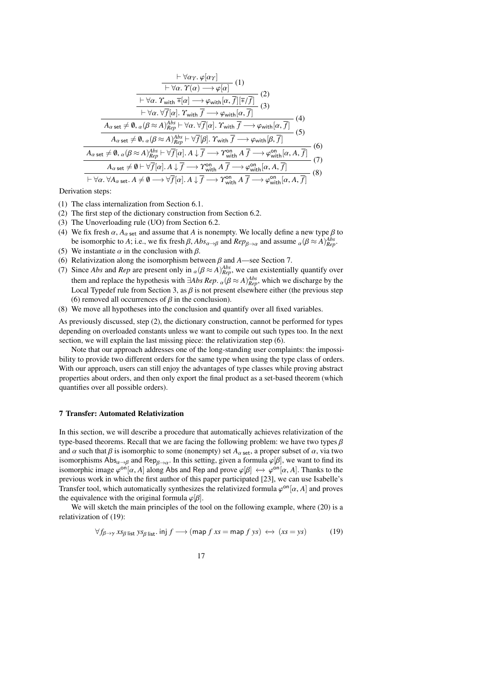$$
\frac{\vdash \forall \alpha r.\ \varphi[\alpha r]}{\vdash \forall \alpha.\ \varUpsilon(\alpha) \longrightarrow \varphi[\alpha]} (1)
$$
\n
$$
\frac{\vdash \forall \alpha.\ \varUpsilon(\alpha) \longrightarrow \varphi[\alpha]}{\vdash \forall \alpha.\ \varUpsilon_{\text{with}} \ \overline{*}[\alpha] \longrightarrow \varphi_{\text{with}}[\alpha, \overline{f}][\overline{*}/\overline{f}]} (2)
$$
\n
$$
\frac{\vdash \forall \alpha.\ \forall \overline{f}[\alpha].\ \varUpsilon_{\text{with}} \ \overline{f} \longrightarrow \varphi_{\text{with}}[\alpha, \overline{f}]}{(3)}
$$
\n
$$
\frac{A_{\alpha \text{ set}} \neq \emptyset, \alpha(\beta \approx A)_{Rep}^{Abs} \vdash \forall \alpha.\ \forall \overline{f}[\alpha].\ \varUpsilon_{\text{with}} \ \overline{f} \longrightarrow \varphi_{\text{with}}[\alpha, \overline{f}]} (4)
$$
\n
$$
A_{\alpha \text{ set}} \neq \emptyset, \alpha(\beta \approx A)_{Rep}^{Abs} \vdash \forall \overline{f}[\beta].\ \varUpsilon_{\text{with}} \ \overline{f} \longrightarrow \varphi_{\text{with}}[\beta, \overline{f}]} (5)
$$
\n
$$
A_{\alpha \text{ set}} \neq \emptyset, \alpha(\beta \approx A)_{Rep}^{Abs} \vdash \forall \overline{f}[\alpha].\ A \downarrow \overline{f} \longrightarrow \varUpsilon_{\text{with}}^{on}\ A \ \overline{f} \longrightarrow \varphi_{\text{with}}^{on}[\alpha, A, \overline{f}]} (7)
$$
\n
$$
A_{\alpha \text{ set}} \neq \emptyset \vdash \forall \overline{f}[\alpha].\ A \downarrow \overline{f} \longrightarrow \varUpsilon_{\text{with}}^{on}\ A \ \overline{f} \longrightarrow \varphi_{\text{with}}^{on}[\alpha, A, \overline{f}]} (8)
$$

Derivation steps:

- (1) The class internalization from Section [6.1.](#page-11-4)
- (2) The first step of the dictionary construction from Section [6.2.](#page-12-2)
- (3) The Unoverloading rule (UO) from Section [6.2.](#page-12-2)
- (4) We fix fresh  $\alpha$ ,  $A_{\alpha \text{ set}}$  and assume that *A* is nonempty. We locally define a new type  $\beta$  to be isomorphic to *A*; i.e., we fix fresh  $\beta$ ,  $Abs_{\alpha\rightarrow\beta}$  and  $Rep_{\beta\rightarrow\alpha}$  and assume  $\alpha(\beta \approx A)_{Rep}^{Abs}$ .<br>We instantiate  $\alpha$  in the conclusion with  $\beta$ .
- (5) We instantiate  $\alpha$  in the conclusion with  $\beta$ .
- (6) Relativization along the isomorphism between  $\beta$  and  $A$ —see Section [7.](#page-16-0)
- (7) Since *Abs* and *Rep* are present only in  $\alpha(\beta \approx A)_{Rep}^{Abs}$ , we can existentially quantify over<br>them and analyze the handle in with  $\Box A I_{AB}$ .  $\beta \sim (\beta \gamma A)^{Abs}$  which me disclosure hades them and replace the hypothesis with  $\exists Abs\ Rep$ .  $\alpha(\beta \approx A)_{Rep}^{Abs}$ , which we discharge by the Local Typedef rule from Section 3, as  $\beta$  is not present elsewhere either (the previous step Local Typedef rule from Section [3,](#page-6-0) as  $\beta$  is not present elsewhere either (the previous step (6) removed all occurrences of  $\beta$  in the conclusion).
- (8) We move all hypotheses into the conclusion and quantify over all fixed variables.

As previously discussed, step (2), the dictionary construction, cannot be performed for types depending on overloaded constants unless we want to compile out such types too. In the next section, we will explain the last missing piece: the relativization step (6).

Note that our approach addresses one of the long-standing user complaints: the impossibility to provide two different orders for the same type when using the type class of orders. With our approach, users can still enjoy the advantages of type classes while proving abstract properties about orders, and then only export the final product as a set-based theorem (which quantifies over all possible orders).

#### <span id="page-16-0"></span>7 Transfer: Automated Relativization

In this section, we will describe a procedure that automatically achieves relativization of the type-based theorems. Recall that we are facing the following problem: we have two types  $\beta$ and  $\alpha$  such that  $\beta$  is isomorphic to some (nonempty) set  $A_{\alpha \text{ set}}$ , a proper subset of  $\alpha$ , via two isomorphisms  $\text{Abs}_{\alpha \to \beta}$  and  $\text{Rep}_{\beta \to \alpha}$ . In this setting, given a formula  $\varphi[\beta]$ , we want to find its isomorphic image  $\varphi^{0n}[\alpha, A]$  along Abs and Ben and prove  $\varphi[\beta] \leftrightarrow \varphi^{0n}[\alpha, A]$ . Thanks to the isomorphic image  $\varphi^{\text{on}}[\alpha, A]$  along Abs and Rep and prove  $\varphi[\beta] \leftrightarrow \varphi^{\text{on}}[\alpha, A]$ . Thanks to the previous work in which the first author of this paper participated [\[23\]](#page-23-20), we can use Isabelle's Transfer tool, which automatically synthesizes the relativized formula  $\varphi^{on}[\alpha, A]$  and proves the equivalence with the original formula  $\varphi^{[\alpha]}$ the equivalence with the original formula  $\varphi[\beta]$ .

We will sketch the main principles of the tool on the following example, where [\(20\)](#page-17-0) is a relativization of [\(19\)](#page-16-1):

$$
\forall f_{\beta \to \gamma} \, x s_{\beta} \, \text{list} \, y s_{\beta \, \text{list}}. \, \text{inj} \, f \longrightarrow (\text{map } f \, x s = \text{map } f \, y s) \leftrightarrow (x s = y s) \tag{19}
$$

<span id="page-16-1"></span>17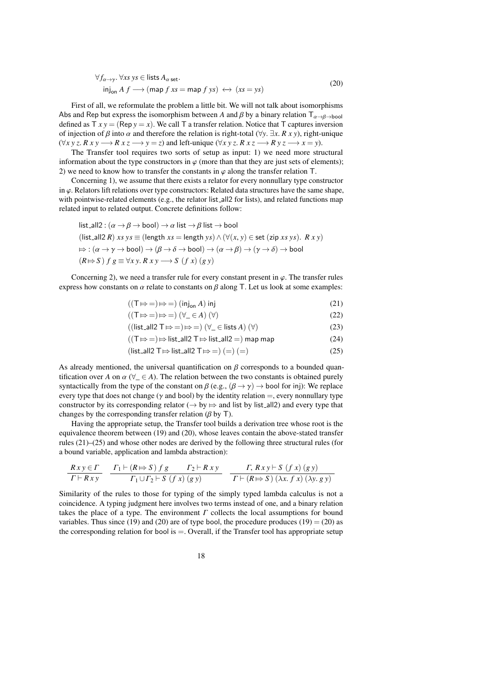<span id="page-17-0"></span>
$$
\forall f_{\alpha \to \gamma}. \forall xs \; ys \in \text{lists } A_{\alpha \text{ set}}.
$$
  
inj<sub>on</sub>  $A \ f \longrightarrow (\text{map } f \; xs = \text{map } f \; ys) \leftrightarrow (xs = ys)$  (20)

First of all, we reformulate the problem a little bit. We will not talk about isomorphisms Abs and Rep but express the isomorphism between *A* and  $\beta$  by a binary relation  $T_{\alpha \to \beta \to \text{bool}}$ defined as  $T x y = ($ Rep  $y = x)$ . We call T a transfer relation. Notice that T captures inversion of injection of  $\beta$  into  $\alpha$  and therefore the relation is right-total ( $\forall y$ .  $\exists x$ .  $\beta$  x y), right-unique  $(\forall x \lor z \land R \lor x \lor \rightarrow R \lor x \lor \rightarrow y = z)$  and left-unique  $(\forall x \lor z \land R \lor x \rightarrow R \lor x \rightarrow x = y)$ .

The Transfer tool requires two sorts of setup as input: 1) we need more structural information about the type constructors in  $\varphi$  (more than that they are just sets of elements); 2) we need to know how to transfer the constants in  $\varphi$  along the transfer relation T.

Concerning 1), we assume that there exists a relator for every nonnullary type constructor in  $\varphi$ . Relators lift relations over type constructors: Related data structures have the same shape, with pointwise-related elements (e.g., the relator list all 2 for lists), and related functions map related input to related output. Concrete definitions follow:

list-all2 : 
$$
(\alpha \rightarrow \beta \rightarrow \text{bool}) \rightarrow \alpha
$$
 list  $\rightarrow \beta$  list  $\rightarrow \text{bool}$   
\n(list-all2 R) xs ys  $\equiv$  (length xs = length ys)  $\land$  ( $\forall (x, y) \in$  set (zip xs ys). R xy)  
\n $\Rightarrow$  :  $(\alpha \rightarrow \gamma \rightarrow \text{bool}) \rightarrow (\beta \rightarrow \delta \rightarrow \text{bool}) \rightarrow (\alpha \rightarrow \beta) \rightarrow (\gamma \rightarrow \delta) \rightarrow \text{bool}$   
\n(R $\Rightarrow S$ ) f g  $\equiv \forall xy. R xy \rightarrow S$  (f x) (g y)

Concerning 2), we need a transfer rule for every constant present in  $\varphi$ . The transfer rules express how constants on  $\alpha$  relate to constants on  $\beta$  along T. Let us look at some examples:

<span id="page-17-3"></span><span id="page-17-1"></span>
$$
((T \Rightarrow =) \Rightarrow =) (\mathsf{inj}_{\mathsf{on}} A) \mathsf{inj}
$$
\n
$$
((T \Rightarrow \mathsf{inj}_{\mathsf{on}} A) \mathsf{inj})
$$
\n
$$
(21)
$$

$$
((T \Rightarrow =) \Rightarrow =) (\forall_{-} \in A) (\forall) \tag{22}
$$

$$
((\text{list}\_all2 \top \mapsto =)) \leftrightarrow ((\forall_{\perp} \in \text{lists } A) (\forall) \tag{23}
$$

<span id="page-17-4"></span>
$$
((T \mapsto =) \mapsto \text{list}\_\text{all2} \top \mapsto \text{list}\_\text{all2} =) \text{ map map}
$$
\n(24)

<span id="page-17-2"></span>(list all2 TZ⇒list all2 TZ⇒=) (=) (=) (25)

As already mentioned, the universal quantification on  $\beta$  corresponds to a bounded quantification over *A* on  $\alpha$  ( $\forall$   $\in$  *A*). The relation between the two constants is obtained purely syntactically from the type of the constant on  $\beta$  (e.g.,  $(\beta \rightarrow \gamma)$ )  $\rightarrow$  bool for inj): We replace every type that does not change ( $\gamma$  and bool) by the identity relation  $=$ , every nonnullary type constructor by its corresponding relator ( $\rightarrow$  by  $\Rightarrow$  and list by list\_all2) and every type that changes by the corresponding transfer relation ( $\beta$  by T).

Having the appropriate setup, the Transfer tool builds a derivation tree whose root is the equivalence theorem between [\(19\)](#page-16-1) and [\(20\)](#page-17-0), whose leaves contain the above-stated transfer rules [\(21\)](#page-17-1)–[\(25\)](#page-17-2) and whose other nodes are derived by the following three structural rules (for a bound variable, application and lambda abstraction):

$$
\frac{Rxy \in \Gamma}{\Gamma \vdash Rxy} \quad \frac{\Gamma_1 \vdash (R \Rightarrow S) \, f \, g \qquad \Gamma_2 \vdash R \, xy}{\Gamma_1 \cup \Gamma_2 \vdash S \, (f \, x) \, (g \, y)} \quad \frac{\Gamma, \, Rxy \vdash S \, (f \, x) \, (g \, y)}{\Gamma \vdash (R \Rightarrow S) \, (\lambda x. \, f \, x) \, (\lambda y. \, g \, y)}
$$

Similarity of the rules to those for typing of the simply typed lambda calculus is not a coincidence. A typing judgment here involves two terms instead of one, and a binary relation takes the place of a type. The environment  $\Gamma$  collects the local assumptions for bound variables. Thus since [\(19\)](#page-16-1) and [\(20\)](#page-17-0) are of type bool, the procedure produces (19) = (20) as the corresponding relation for bool is  $=$ . Overall, if the Transfer tool has appropriate setup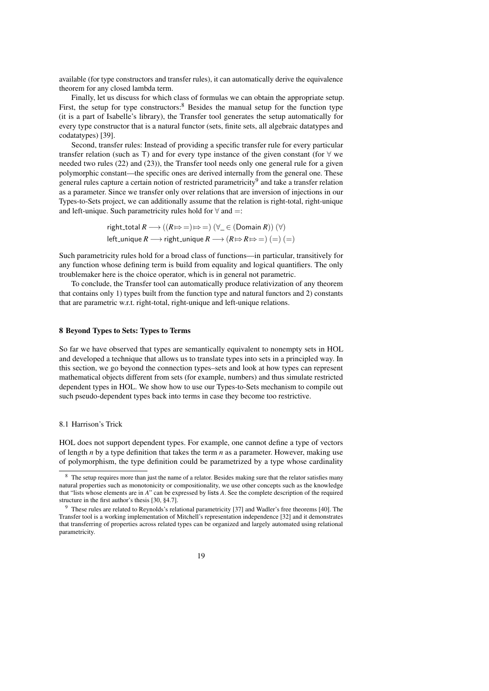available (for type constructors and transfer rules), it can automatically derive the equivalence theorem for any closed lambda term.

Finally, let us discuss for which class of formulas we can obtain the appropriate setup. First, the setup for type constructors: $8$  Besides the manual setup for the function type (it is a part of Isabelle's library), the Transfer tool generates the setup automatically for every type constructor that is a natural functor (sets, finite sets, all algebraic datatypes and codatatypes) [\[39\]](#page-23-21).

Second, transfer rules: Instead of providing a specific transfer rule for every particular transfer relation (such as T) and for every type instance of the given constant (for  $\forall$  we needed two rules [\(22\)](#page-17-3) and [\(23\)](#page-17-4)), the Transfer tool needs only one general rule for a given polymorphic constant—the specific ones are derived internally from the general one. These general rules capture a certain notion of restricted parametricity<sup>[9](#page-18-2)</sup> and take a transfer relation as a parameter. Since we transfer only over relations that are inversion of injections in our Types-to-Sets project, we can additionally assume that the relation is right-total, right-unique and left-unique. Such parametricity rules hold for  $\forall$  and  $=$ :

righttotal 
$$
R \longrightarrow ((R \mapsto =) \mapsto =) (\forall_{-} \in (\text{Domain } R)) (\forall)
$$
  
left\\_unique  $R \longrightarrow \text{right\_unique } R \longrightarrow (R \mapsto R \mapsto =) (=) (=)$ 

Such parametricity rules hold for a broad class of functions—in particular, transitively for any function whose defining term is build from equality and logical quantifiers. The only troublemaker here is the choice operator, which is in general not parametric.

To conclude, the Transfer tool can automatically produce relativization of any theorem that contains only 1) types built from the function type and natural functors and 2) constants that are parametric w.r.t. right-total, right-unique and left-unique relations.

## <span id="page-18-0"></span>8 Beyond Types to Sets: Types to Terms

So far we have observed that types are semantically equivalent to nonempty sets in HOL and developed a technique that allows us to translate types into sets in a principled way. In this section, we go beyond the connection types–sets and look at how types can represent mathematical objects different from sets (for example, numbers) and thus simulate restricted dependent types in HOL. We show how to use our Types-to-Sets mechanism to compile out such pseudo-dependent types back into terms in case they become too restrictive.

#### 8.1 Harrison's Trick

HOL does not support dependent types. For example, one cannot define a type of vectors of length *n* by a type definition that takes the term *n* as a parameter. However, making use of polymorphism, the type definition could be parametrized by a type whose cardinality

<span id="page-18-2"></span><sup>&</sup>lt;sup>9</sup> These rules are related to Reynolds's relational parametricity [\[37\]](#page-23-23) and Wadler's free theorems [\[40\]](#page-23-24). The Transfer tool is a working implementation of Mitchell's representation independence [\[32\]](#page-23-25) and it demonstrates that transferring of properties across related types can be organized and largely automated using relational parametricity.



<span id="page-18-1"></span><sup>&</sup>lt;sup>8</sup> The setup requires more than just the name of a relator. Besides making sure that the relator satisfies many natural properties such as monotonicity or compositionality, we use other concepts such as the knowledge that "lists whose elements are in *A*" can be expressed by lists *A*. See the complete description of the required structure in the first author's thesis [\[30,](#page-23-22) §4.7].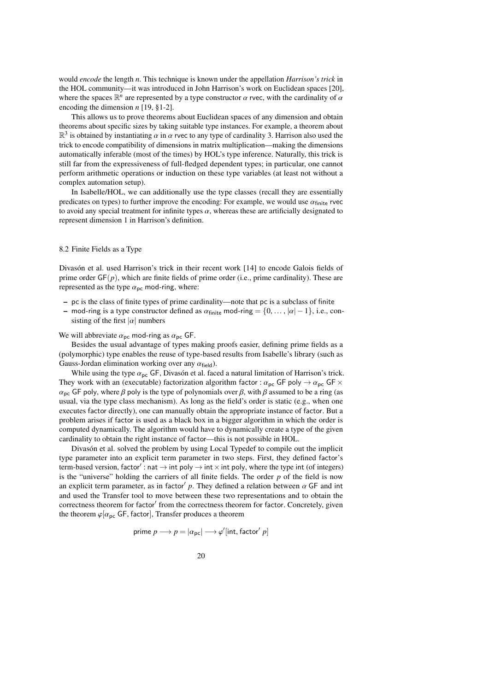would *encode* the length *n*. This technique is known under the appellation *Harrison's trick* in the HOL community—it was introduced in John Harrison's work on Euclidean spaces [\[20\]](#page-23-26), where the spaces  $\mathbb{R}^n$  are represented by a type constructor  $\alpha$  rvec, with the cardinality of  $\alpha$  encoding the dimension  $n$  [19, 81-2] encoding the dimension *n* [\[19,](#page-23-27) §1-2].

This allows us to prove theorems about Euclidean spaces of any dimension and obtain theorems about specific sizes by taking suitable type instances. For example, a theorem about  $\mathbb{R}^3$  is obtained by instantiating  $\alpha$  in  $\alpha$  rvec to any type of cardinality 3. Harrison also used the tirely to encode compatibility of dimensions in matrix multiplication—making the dimensions trick to encode compatibility of dimensions in matrix multiplication—making the dimensions automatically inferable (most of the times) by HOL's type inference. Naturally, this trick is still far from the expressiveness of full-fledged dependent types; in particular, one cannot perform arithmetic operations or induction on these type variables (at least not without a complex automation setup).

In Isabelle/HOL, we can additionally use the type classes (recall they are essentially predicates on types) to further improve the encoding: For example, we would use  $\alpha_{\text{finite}}$  rvec to avoid any special treatment for infinite types  $\alpha$ , whereas these are artificially designated to represent dimension 1 in Harrison's definition.

## 8.2 Finite Fields as a Type

Divasón et al. used Harrison's trick in their recent work [\[14\]](#page-23-28) to encode Galois fields of prime order GF(*p*), which are finite fields of prime order (i.e., prime cardinality). These are represented as the type  $\alpha_{\text{pc}}$  mod-ring, where:

- pc is the class of finite types of prime cardinality—note that pc is a subclass of finite
- mod-ring is a type constructor defined as  $\alpha_{\text{finite}}$  mod-ring =  $\{0, \dots, |\alpha| 1\}$ , i.e., consisting of the first  $|\alpha|$  numbers

We will abbreviate  $\alpha_{\text{pc}}$  mod-ring as  $\alpha_{\text{pc}}$  GF.

Besides the usual advantage of types making proofs easier, defining prime fields as a (polymorphic) type enables the reuse of type-based results from Isabelle's library (such as Gauss-Jordan elimination working over any  $\alpha_{\text{field}}$ ).

While using the type  $\alpha_{\text{pc}}$  GF, Divasón et al. faced a natural limitation of Harrison's trick. They work with an (executable) factorization algorithm factor :  $\alpha_{pc}$  GF poly  $\rightarrow \alpha_{pc}$  GF  $\times$  $\alpha_{\rm pc}$  GF poly, where  $\beta$  poly is the type of polynomials over  $\beta$ , with  $\beta$  assumed to be a ring (as usual, via the type class mechanism). As long as the field's order is static (e.g., when one executes factor directly), one can manually obtain the appropriate instance of factor. But a problem arises if factor is used as a black box in a bigger algorithm in which the order is computed dynamically. The algorithm would have to dynamically create a type of the given cardinality to obtain the right instance of factor—this is not possible in HOL.

Divasón et al. solved the problem by using Local Typedef to compile out the implicit type parameter into an explicit term parameter in two steps. First, they defined factor's term-based version, factor': nat  $\rightarrow$  int poly  $\rightarrow$  int  $\times$  int poly, where the type int (of integers) is the "universe" holding the carriers of all finite fields. The order *p* of the field is now an explicit term parameter, as in factor' p. They defined a relation between  $\alpha$  GF and integral used the Transfer tool to move between these two representations and to obtain the and used the Transfer tool to move between these two representations and to obtain the correctness theorem for factor' from the correctness theorem for factor. Concretely, given the theorem  $\varphi[\alpha_{\text{pc}}]$  GF, factor], Transfer produces a theorem

$$
\text{prime }p \longrightarrow p = | \alpha_{\rm pc} | \longrightarrow \varphi' [\text{int}, \text{factor}' \; p ]
$$

20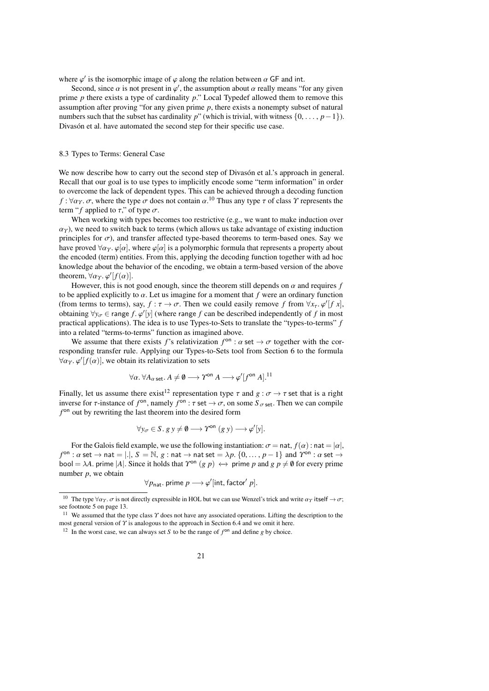where  $\varphi'$  is the isomorphic image of  $\varphi$  along the relation between  $\alpha$  GF and int.<br>Second since  $\alpha$  is not present in  $\varphi'$  the assumption about  $\alpha$  really means "for

Second, since  $\alpha$  is not present in  $\varphi'$ , the assumption about  $\alpha$  really means "for any given<br>ne *n* there exists a type of cardinality n" Local Typedef allowed them to remove this prime *p* there exists a type of cardinality *p*." Local Typedef allowed them to remove this assumption after proving "for any given prime *p*, there exists a nonempty subset of natural numbers such that the subset has cardinality *p*" (which is trivial, with witness  $\{0, \ldots, p-1\}$ ). Divasón et al. have automated the second step for their specific use case.

#### 8.3 Types to Terms: General Case

We now describe how to carry out the second step of Divasón et al.'s approach in general. Recall that our goal is to use types to implicitly encode some "term information" in order to overcome the lack of dependent types. This can be achieved through a decoding function *f* :  $\forall \alpha_T$ .  $\sigma$ , where the type  $\sigma$  does not contain  $\alpha$ .<sup>[10](#page-20-0)</sup> Thus any type  $\tau$  of class  $\gamma$  represents the term "f applied to  $\tau$ " of type  $\sigma$ term "*f* applied to  $\tau$ ," of type  $\sigma$ .

When working with types becomes too restrictive (e.g., we want to make induction over  $\alpha_T$ ), we need to switch back to terms (which allows us take advantage of existing induction principles for  $\sigma$ ), and transfer affected type-based theorems to term-based ones. Say we have proved  $\forall \alpha_T$ .  $\varphi[\alpha]$ , where  $\varphi[\alpha]$  is a polymorphic formula that represents a property about the encoded (term) entities. From this, applying the decoding function together with ad hoc knowledge about the behavior of the encoding, we obtain a term-based version of the above theorem,  $\forall \alpha \gamma$ .  $\varphi'[f(\alpha)]$ .<br>However, this is not

However, this is not good enough, since the theorem still depends on  $\alpha$  and requires f to be applied explicitly to α. Let us imagine for a moment that *<sup>f</sup>* were an ordinary function (from terms to terms), say,  $f : \tau \to \sigma$ . Then we could easily remove *f* from  $\forall x_\tau, \varphi'[f\ x]$ , obtaining  $\forall y \in \text{range } f$  ( $\varphi'[y]$  (where range *f* can be described independently of *f* in most obtaining  $\forall y_{\sigma} \in \text{range } f$ .  $\varphi'[y]$  (where range *f* can be described independently of *f* in most<br>practical applications). The idea is to use Types-to-Sets to translate the "types-to-terms" *f* practical applications). The idea is to use Types-to-Sets to translate the "types-to-terms" *f* into a related "terms-to-terms" function as imagined above.

We assume that there exists *f*'s relativization  $f^{\circ n}$  :  $\alpha$  set  $\rightarrow \sigma$  together with the cor-<br>conding transfer rule. Applying our Types-to-Sets tool from Section 6 to the formula responding transfer rule. Applying our Types-to-Sets tool from Section [6](#page-11-0) to the formula  $\forall \alpha_T \ldotp \varphi'[f(\alpha)]$ , we obtain its relativization to sets

$$
\forall \alpha. \ \forall A_{\alpha \text{ set}}. A \neq \emptyset \longrightarrow \Upsilon^{\text{on}} A \longrightarrow \varphi'[f^{\text{on}} A].^{11}
$$

Finally, let us assume there exist<sup>[12](#page-20-2)</sup> representation type  $\tau$  and  $g : \sigma \to \tau$  set that is a right inverse for  $\tau$ -instance of *f*<sup>on</sup>, namely *f*<sup>on</sup> :  $\tau$  set  $\rightarrow \sigma$ , on some  $S_{\sigma}$  set. Then we can compile *f*<sup>on</sup> out by rewriting the last theorem into the desired form  $f<sup>on</sup>$  out by rewriting the last theorem into the desired form

$$
\forall y_{\sigma} \in S.\ g\ y \neq \emptyset \longrightarrow \Upsilon^{\text{on}}(g\ y) \longrightarrow \varphi'[y].
$$

For the Galois field example, we use the following instantiation:  $\sigma = \text{nat}, f(\alpha)$ : nat  $= |\alpha|$ ,  $f^{\text{on}}$ :  $\alpha$  set  $\rightarrow$  nat = |.|,  $S = \mathbb{N}$ ,  $g$  : nat  $\rightarrow$  nat set  $= \lambda p$ .  $\{0, \dots, p-1\}$  and  $\gamma^{\text{on}}$ :  $\alpha$  set  $\rightarrow$ bool =  $\lambda A$ . prime |A|. Since it holds that  $\gamma^{on} (g \, p) \leftrightarrow$  prime p and  $g \, p \neq \emptyset$  for every prime number *p*, we obtain

$$
\forall p_{\mathsf{nat}}.\ \mathsf{prime}\ p \longrightarrow \varphi'[\mathsf{int},\mathsf{factor}'\ p].
$$

<span id="page-20-0"></span><sup>&</sup>lt;sup>10</sup> The type  $\forall \alpha_T$ .  $\sigma$  is not directly expressible in HOL but we can use Wenzel's trick and write  $\alpha_T$  itself  $\rightarrow \sigma$ ; see footnote [5](#page-12-0) on page [13.](#page-12-0)

<span id="page-20-1"></span><sup>&</sup>lt;sup>11</sup> We assumed that the type class  $\gamma$  does not have any associated operations. Lifting the description to the most general version of Υ is analogous to the approach in Section [6.4](#page-15-2) and we omit it here.

<span id="page-20-2"></span><sup>&</sup>lt;sup>12</sup> In the worst case, we can always set *S* to be the range of  $f<sup>on</sup>$  and define *g* by choice.

<sup>21</sup>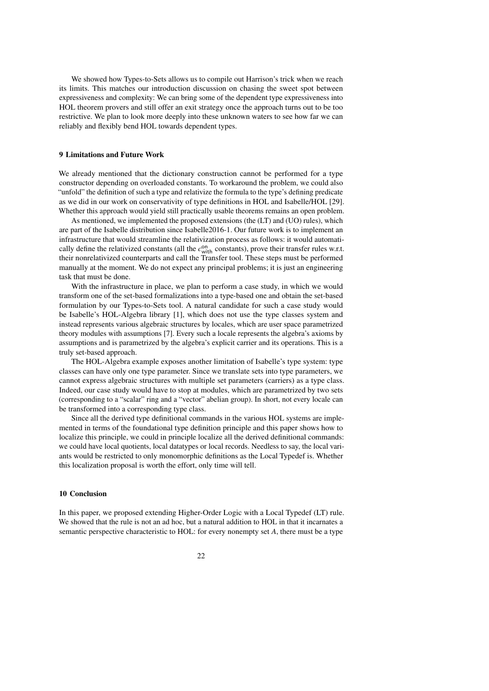We showed how Types-to-Sets allows us to compile out Harrison's trick when we reach its limits. This matches our introduction discussion on chasing the sweet spot between expressiveness and complexity: We can bring some of the dependent type expressiveness into HOL theorem provers and still offer an exit strategy once the approach turns out to be too restrictive. We plan to look more deeply into these unknown waters to see how far we can reliably and flexibly bend HOL towards dependent types.

#### <span id="page-21-0"></span>9 Limitations and Future Work

We already mentioned that the dictionary construction cannot be performed for a type constructor depending on overloaded constants. To workaround the problem, we could also "unfold" the definition of such a type and relativize the formula to the type's defining predicate as we did in our work on conservativity of type definitions in HOL and Isabelle/HOL [\[29\]](#page-23-29). Whether this approach would yield still practically usable theorems remains an open problem.

As mentioned, we implemented the proposed extensions (the (LT) and (UO) rules), which are part of the Isabelle distribution since Isabelle2016-1. Our future work is to implement an infrastructure that would streamline the relativization process as follows: it would automatically define the relativized constants (all the  $c_{\text{with}}^{\text{on}}$  constants), prove their transfer rules w.r.t. their nonrelativized counterparts and call the Transfer tool. These steps must be performed manually at the moment. We do not expect any principal problems; it is just an engineering task that must be done.

With the infrastructure in place, we plan to perform a case study, in which we would transform one of the set-based formalizations into a type-based one and obtain the set-based formulation by our Types-to-Sets tool. A natural candidate for such a case study would be Isabelle's HOL-Algebra library [\[1\]](#page-22-11), which does not use the type classes system and instead represents various algebraic structures by locales, which are user space parametrized theory modules with assumptions [\[7\]](#page-22-12). Every such a locale represents the algebra's axioms by assumptions and is parametrized by the algebra's explicit carrier and its operations. This is a truly set-based approach.

The HOL-Algebra example exposes another limitation of Isabelle's type system: type classes can have only one type parameter. Since we translate sets into type parameters, we cannot express algebraic structures with multiple set parameters (carriers) as a type class. Indeed, our case study would have to stop at modules, which are parametrized by two sets (corresponding to a "scalar" ring and a "vector" abelian group). In short, not every locale can be transformed into a corresponding type class.

Since all the derived type definitional commands in the various HOL systems are implemented in terms of the foundational type definition principle and this paper shows how to localize this principle, we could in principle localize all the derived definitional commands: we could have local quotients, local datatypes or local records. Needless to say, the local variants would be restricted to only monomorphic definitions as the Local Typedef is. Whether this localization proposal is worth the effort, only time will tell.

# 10 Conclusion

In this paper, we proposed extending Higher-Order Logic with a Local Typedef (LT) rule. We showed that the rule is not an ad hoc, but a natural addition to HOL in that it incarnates a semantic perspective characteristic to HOL: for every nonempty set *A*, there must be a type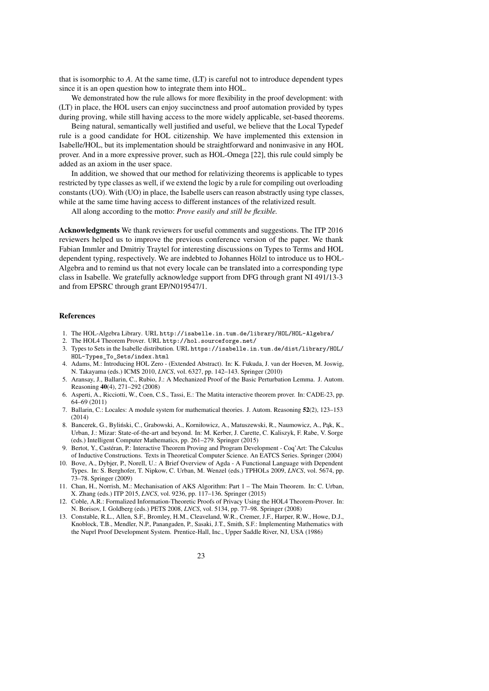that is isomorphic to *A*. At the same time, (LT) is careful not to introduce dependent types since it is an open question how to integrate them into HOL.

We demonstrated how the rule allows for more flexibility in the proof development: with (LT) in place, the HOL users can enjoy succinctness and proof automation provided by types during proving, while still having access to the more widely applicable, set-based theorems.

Being natural, semantically well justified and useful, we believe that the Local Typedef rule is a good candidate for HOL citizenship. We have implemented this extension in Isabelle/HOL, but its implementation should be straightforward and noninvasive in any HOL prover. And in a more expressive prover, such as HOL-Omega [\[22\]](#page-23-4), this rule could simply be added as an axiom in the user space.

In addition, we showed that our method for relativizing theorems is applicable to types restricted by type classes as well, if we extend the logic by a rule for compiling out overloading constants (UO). With (UO) in place, the Isabelle users can reason abstractly using type classes, while at the same time having access to different instances of the relativized result.

All along according to the motto: *Prove easily and still be flexible.*

Acknowledgments We thank reviewers for useful comments and suggestions. The ITP 2016 reviewers helped us to improve the previous conference version of the paper. We thank Fabian Immler and Dmitriy Traytel for interesting discussions on Types to Terms and HOL dependent typing, respectively. We are indebted to Johannes Hölzl to introduce us to HOL-Algebra and to remind us that not every locale can be translated into a corresponding type class in Isabelle. We gratefully acknowledge support from DFG through grant NI 491/13-3 and from EPSRC through grant EP/N019547/1.

#### References

- <span id="page-22-11"></span>1. The HOL-Algebra Library. URL <http://isabelle.in.tum.de/library/HOL/HOL-Algebra/>
- <span id="page-22-4"></span>2. The HOL4 Theorem Prover. URL <http://hol.sourceforge.net/>
- <span id="page-22-10"></span>3. Types to Sets in the Isabelle distribution. URL [https://isabelle.in.tum.de/dist/library/HOL/](https://isabelle.in.tum.de/dist/library/HOL/HOL-Types_To_Sets/index.html) [HOL-Types\\_To\\_Sets/index.html](https://isabelle.in.tum.de/dist/library/HOL/HOL-Types_To_Sets/index.html)
- <span id="page-22-5"></span>4. Adams, M.: Introducing HOL Zero - (Extended Abstract). In: K. Fukuda, J. van der Hoeven, M. Joswig, N. Takayama (eds.) ICMS 2010, *LNCS*, vol. 6327, pp. 142–143. Springer (2010)
- <span id="page-22-7"></span>5. Aransay, J., Ballarin, C., Rubio, J.: A Mechanized Proof of the Basic Perturbation Lemma. J. Autom. Reasoning 40(4), 271–292 (2008)
- <span id="page-22-2"></span>6. Asperti, A., Ricciotti, W., Coen, C.S., Tassi, E.: The Matita interactive theorem prover. In: CADE-23, pp. 64–69 (2011)
- <span id="page-22-12"></span>7. Ballarin, C.: Locales: A module system for mathematical theories. J. Autom. Reasoning 52(2), 123–153 (2014)
- <span id="page-22-6"></span>8. Bancerek, G., Byliński, C., Grabowski, A., Korniłowicz, A., Matuszewski, R., Naumowicz, A., Pąk, K., Urban, J.: Mizar: State-of-the-art and beyond. In: M. Kerber, J. Carette, C. Kaliszyk, F. Rabe, V. Sorge (eds.) Intelligent Computer Mathematics, pp. 261–279. Springer (2015)
- <span id="page-22-1"></span>9. Bertot, Y., Castéran, P.: Interactive Theorem Proving and Program Development - Coq'Art: The Calculus of Inductive Constructions. Texts in Theoretical Computer Science. An EATCS Series. Springer (2004)
- <span id="page-22-0"></span>10. Bove, A., Dybjer, P., Norell, U.: A Brief Overview of Agda - A Functional Language with Dependent Types. In: S. Berghofer, T. Nipkow, C. Urban, M. Wenzel (eds.) TPHOLs 2009, *LNCS*, vol. 5674, pp. 73–78. Springer (2009)
- <span id="page-22-8"></span>11. Chan, H., Norrish, M.: Mechanisation of AKS Algorithm: Part 1 – The Main Theorem. In: C. Urban, X. Zhang (eds.) ITP 2015, *LNCS*, vol. 9236, pp. 117–136. Springer (2015)
- <span id="page-22-9"></span>12. Coble, A.R.: Formalized Information-Theoretic Proofs of Privacy Using the HOL4 Theorem-Prover. In: N. Borisov, I. Goldberg (eds.) PETS 2008, *LNCS*, vol. 5134, pp. 77–98. Springer (2008)
- <span id="page-22-3"></span>13. Constable, R.L., Allen, S.F., Bromley, H.M., Cleaveland, W.R., Cremer, J.F., Harper, R.W., Howe, D.J., Knoblock, T.B., Mendler, N.P., Panangaden, P., Sasaki, J.T., Smith, S.F.: Implementing Mathematics with the Nuprl Proof Development System. Prentice-Hall, Inc., Upper Saddle River, NJ, USA (1986)